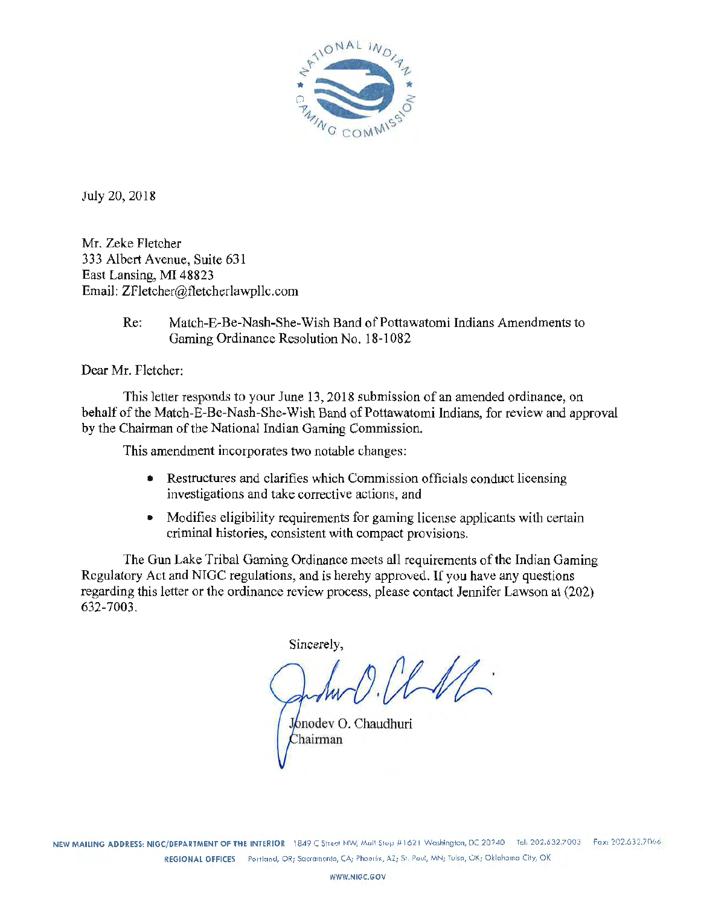

July 20, 2018

Mr. Zeke Fletcher 333 Albert A venue, Suite 631 East Lansing, MI 48823 Email: ZFletcher@fletcherlawpllc.com

> Re: Match-E-Be-Nash-She~Wish Band of Pottawatomi Indians Amendments to Gaming Ordinance Resolution No. 18-1082

Dear Mr. Fletcher:

This letter responds to your June 13, 2018 submission of an amended ordinance, on behalf of the Match~E-Be-Nash-She-Wish Band of Pottawatomi Indians, for review and approval by the Chairman of the National Indian Gaming Commission.

This amendment incorporates two notable changes:

- Restructures and clarifies which Commission officials conduct licensing investigations and take corrective actions, and
- Modifies eligibility requirements for gaming license applicants with certain criminal histories, consistent with compact provisions.

The Gun Lake Tribal Gaming Ordinance meets all requirements of the Indian Gaming Regulatory Act and NIGC regulations, and is hereby approved. If you have any questions regarding this letter or the ordinance review process, please contact Jennifer Lawson at (202) 632-7003.

Sincerely,

 $l M$ 

Jonodev O. Chaudhuri Chairman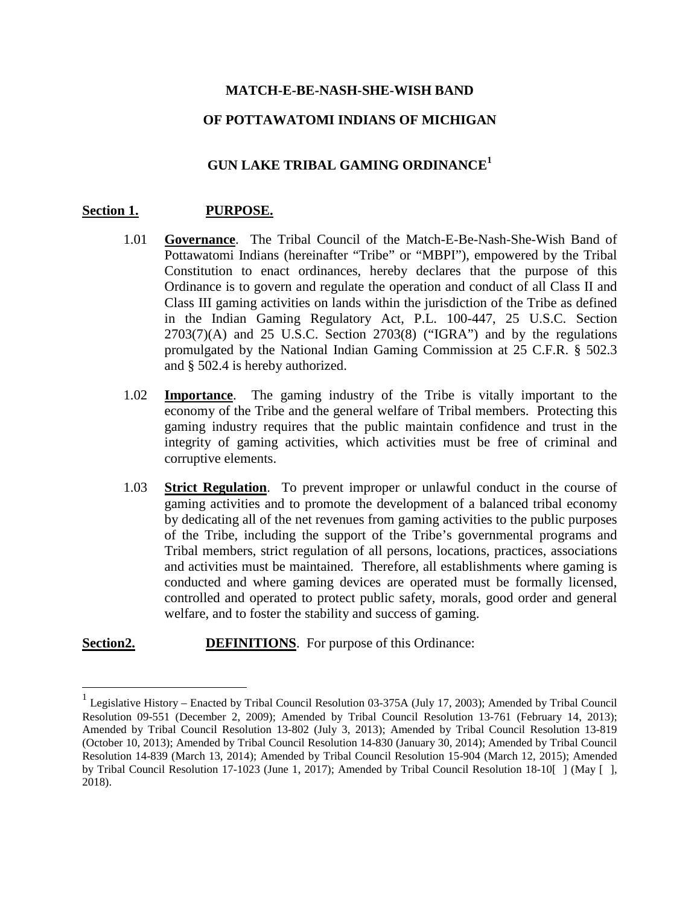### **MATCH-E-BE-NASH-SHE-WISH BAND**

### **OF POTTAWATOMI INDIANS OF MICHIGAN**

# **GUN LAKE TRIBAL GAMING ORDINANCE<sup>1</sup>**

#### **Section 1. PURPOSE.**

- 1.01 **Governance**. The Tribal Council of the Match-E-Be-Nash-She-Wish Band of Pottawatomi Indians (hereinafter "Tribe" or "MBPI"), empowered by the Tribal Constitution to enact ordinances, hereby declares that the purpose of this Ordinance is to govern and regulate the operation and conduct of all Class II and Class III gaming activities on lands within the jurisdiction of the Tribe as defined in the Indian Gaming Regulatory Act, P.L. 100-447, 25 U.S.C. Section  $2703(7)$ (A) and  $25$  U.S.C. Section  $2703(8)$  ("IGRA") and by the regulations promulgated by the National Indian Gaming Commission at 25 C.F.R. § 502.3 and § 502.4 is hereby authorized.
- 1.02 **Importance**. The gaming industry of the Tribe is vitally important to the economy of the Tribe and the general welfare of Tribal members. Protecting this gaming industry requires that the public maintain confidence and trust in the integrity of gaming activities, which activities must be free of criminal and corruptive elements.
- 1.03 **Strict Regulation**. To prevent improper or unlawful conduct in the course of gaming activities and to promote the development of a balanced tribal economy by dedicating all of the net revenues from gaming activities to the public purposes of the Tribe, including the support of the Tribe's governmental programs and Tribal members, strict regulation of all persons, locations, practices, associations and activities must be maintained. Therefore, all establishments where gaming is conducted and where gaming devices are operated must be formally licensed, controlled and operated to protect public safety, morals, good order and general welfare, and to foster the stability and success of gaming.

#### **Section2. DEFINITIONS**. For purpose of this Ordinance:

 $1$  Legislative History – Enacted by Tribal Council Resolution 03-375A (July 17, 2003); Amended by Tribal Council Resolution 09-551 (December 2, 2009); Amended by Tribal Council Resolution 13-761 (February 14, 2013); Amended by Tribal Council Resolution 13-802 (July 3, 2013); Amended by Tribal Council Resolution 13-819 (October 10, 2013); Amended by Tribal Council Resolution 14-830 (January 30, 2014); Amended by Tribal Council Resolution 14-839 (March 13, 2014); Amended by Tribal Council Resolution 15-904 (March 12, 2015); Amended by Tribal Council Resolution 17-1023 (June 1, 2017); Amended by Tribal Council Resolution 18-10[ ] (May [ ], 2018).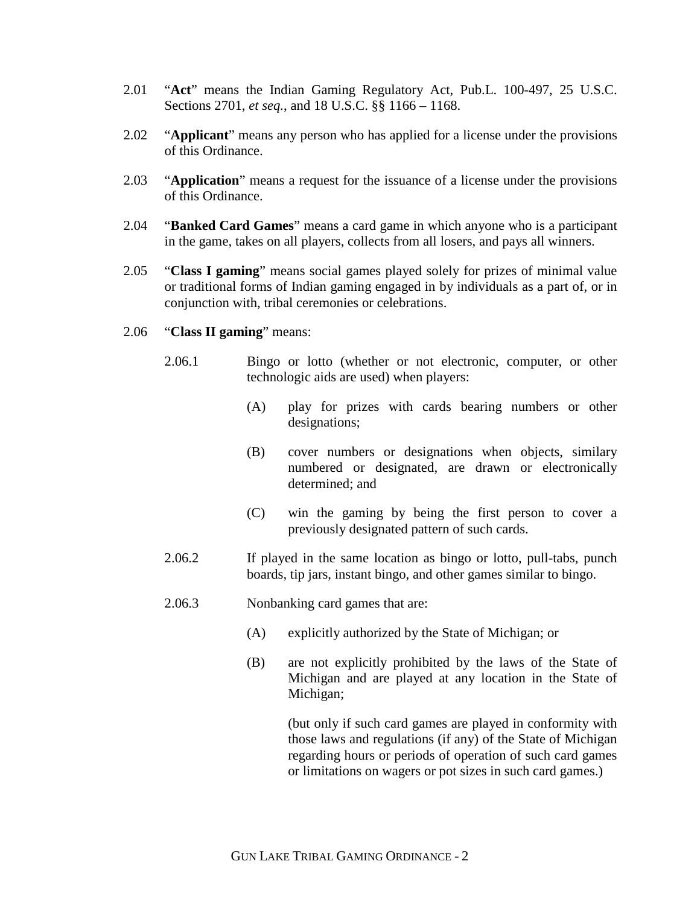- 2.01 "**Act**" means the Indian Gaming Regulatory Act, Pub.L. 100-497, 25 U.S.C. Sections 2701, *et seq.*, and 18 U.S.C. §§ 1166 – 1168.
- 2.02 "**Applicant**" means any person who has applied for a license under the provisions of this Ordinance.
- 2.03 "**Application**" means a request for the issuance of a license under the provisions of this Ordinance.
- 2.04 "**Banked Card Games**" means a card game in which anyone who is a participant in the game, takes on all players, collects from all losers, and pays all winners.
- 2.05 "**Class I gaming**" means social games played solely for prizes of minimal value or traditional forms of Indian gaming engaged in by individuals as a part of, or in conjunction with, tribal ceremonies or celebrations.

#### 2.06 "**Class II gaming**" means:

- 2.06.1 Bingo or lotto (whether or not electronic, computer, or other technologic aids are used) when players:
	- (A) play for prizes with cards bearing numbers or other designations;
	- (B) cover numbers or designations when objects, similary numbered or designated, are drawn or electronically determined; and
	- (C) win the gaming by being the first person to cover a previously designated pattern of such cards.
- 2.06.2 If played in the same location as bingo or lotto, pull-tabs, punch boards, tip jars, instant bingo, and other games similar to bingo.
- 2.06.3 Nonbanking card games that are:
	- (A) explicitly authorized by the State of Michigan; or
	- (B) are not explicitly prohibited by the laws of the State of Michigan and are played at any location in the State of Michigan;

(but only if such card games are played in conformity with those laws and regulations (if any) of the State of Michigan regarding hours or periods of operation of such card games or limitations on wagers or pot sizes in such card games.)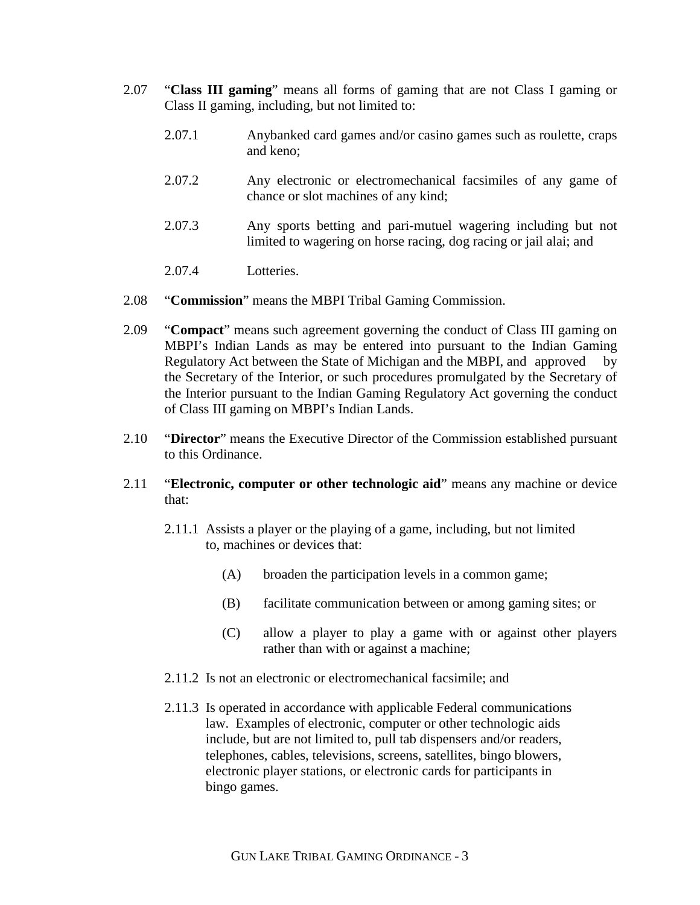- 2.07 "**Class III gaming**" means all forms of gaming that are not Class I gaming or Class II gaming, including, but not limited to:
	- 2.07.1 Anybanked card games and/or casino games such as roulette, craps and keno;
	- 2.07.2 Any electronic or electromechanical facsimiles of any game of chance or slot machines of any kind;
	- 2.07.3 Any sports betting and pari-mutuel wagering including but not limited to wagering on horse racing, dog racing or jail alai; and
	- 2.07.4 Lotteries.
- 2.08 "**Commission**" means the MBPI Tribal Gaming Commission.
- 2.09 "**Compact**" means such agreement governing the conduct of Class III gaming on MBPI's Indian Lands as may be entered into pursuant to the Indian Gaming Regulatory Act between the State of Michigan and the MBPI, and approved by the Secretary of the Interior, or such procedures promulgated by the Secretary of the Interior pursuant to the Indian Gaming Regulatory Act governing the conduct of Class III gaming on MBPI's Indian Lands.
- 2.10 "**Director**" means the Executive Director of the Commission established pursuant to this Ordinance.
- 2.11 "**Electronic, computer or other technologic aid**" means any machine or device that:
	- 2.11.1 Assists a player or the playing of a game, including, but not limited to, machines or devices that:
		- (A) broaden the participation levels in a common game;
		- (B) facilitate communication between or among gaming sites; or
		- (C) allow a player to play a game with or against other players rather than with or against a machine;
	- 2.11.2 Is not an electronic or electromechanical facsimile; and
	- 2.11.3 Is operated in accordance with applicable Federal communications law. Examples of electronic, computer or other technologic aids include, but are not limited to, pull tab dispensers and/or readers, telephones, cables, televisions, screens, satellites, bingo blowers, electronic player stations, or electronic cards for participants in bingo games.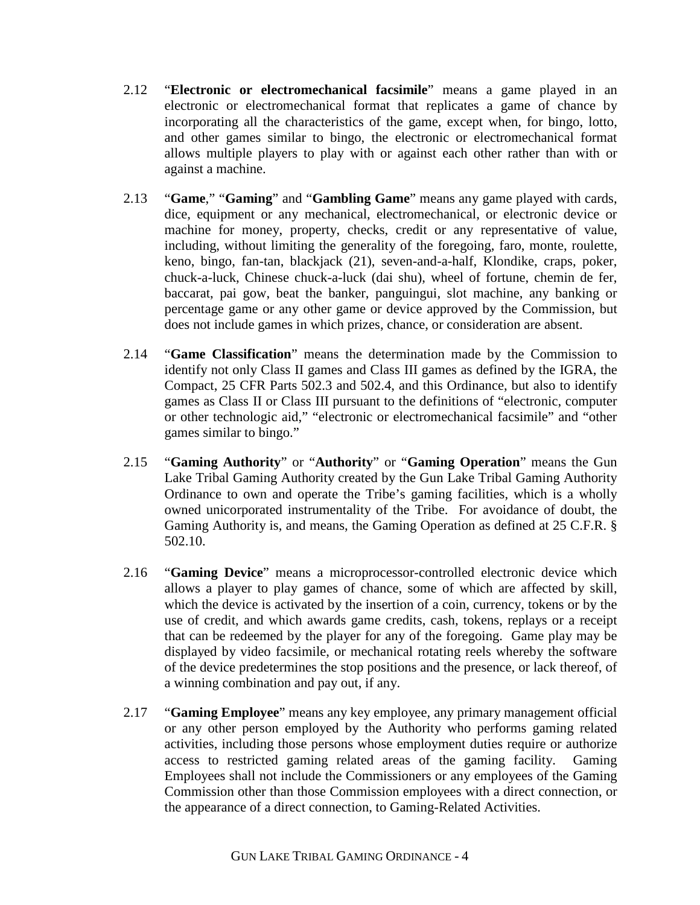- 2.12 "**Electronic or electromechanical facsimile**" means a game played in an electronic or electromechanical format that replicates a game of chance by incorporating all the characteristics of the game, except when, for bingo, lotto, and other games similar to bingo, the electronic or electromechanical format allows multiple players to play with or against each other rather than with or against a machine.
- 2.13 "**Game**," "**Gaming**" and "**Gambling Game**" means any game played with cards, dice, equipment or any mechanical, electromechanical, or electronic device or machine for money, property, checks, credit or any representative of value, including, without limiting the generality of the foregoing, faro, monte, roulette, keno, bingo, fan-tan, blackjack (21), seven-and-a-half, Klondike, craps, poker, chuck-a-luck, Chinese chuck-a-luck (dai shu), wheel of fortune, chemin de fer, baccarat, pai gow, beat the banker, panguingui, slot machine, any banking or percentage game or any other game or device approved by the Commission, but does not include games in which prizes, chance, or consideration are absent.
- 2.14 "**Game Classification**" means the determination made by the Commission to identify not only Class II games and Class III games as defined by the IGRA, the Compact, 25 CFR Parts 502.3 and 502.4, and this Ordinance, but also to identify games as Class II or Class III pursuant to the definitions of "electronic, computer or other technologic aid," "electronic or electromechanical facsimile" and "other games similar to bingo."
- 2.15 "**Gaming Authority**" or "**Authority**" or "**Gaming Operation**" means the Gun Lake Tribal Gaming Authority created by the Gun Lake Tribal Gaming Authority Ordinance to own and operate the Tribe's gaming facilities, which is a wholly owned unicorporated instrumentality of the Tribe. For avoidance of doubt, the Gaming Authority is, and means, the Gaming Operation as defined at 25 C.F.R. § 502.10.
- 2.16 "**Gaming Device**" means a microprocessor-controlled electronic device which allows a player to play games of chance, some of which are affected by skill, which the device is activated by the insertion of a coin, currency, tokens or by the use of credit, and which awards game credits, cash, tokens, replays or a receipt that can be redeemed by the player for any of the foregoing. Game play may be displayed by video facsimile, or mechanical rotating reels whereby the software of the device predetermines the stop positions and the presence, or lack thereof, of a winning combination and pay out, if any.
- 2.17 "**Gaming Employee**" means any key employee, any primary management official or any other person employed by the Authority who performs gaming related activities, including those persons whose employment duties require or authorize access to restricted gaming related areas of the gaming facility. Gaming Employees shall not include the Commissioners or any employees of the Gaming Commission other than those Commission employees with a direct connection, or the appearance of a direct connection, to Gaming-Related Activities.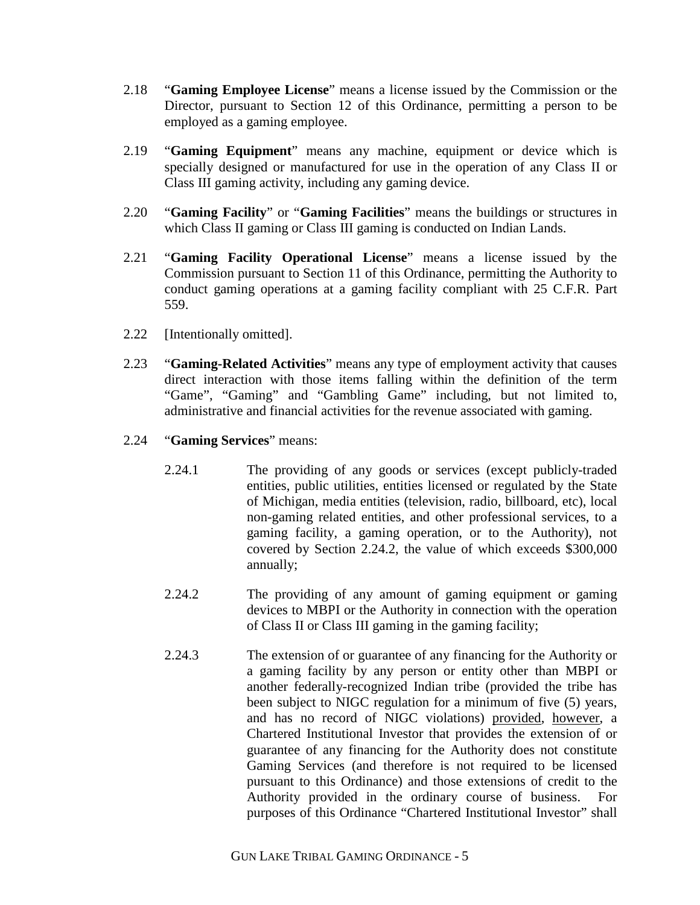- 2.18 "**Gaming Employee License**" means a license issued by the Commission or the Director, pursuant to Section 12 of this Ordinance, permitting a person to be employed as a gaming employee.
- 2.19 "**Gaming Equipment**" means any machine, equipment or device which is specially designed or manufactured for use in the operation of any Class II or Class III gaming activity, including any gaming device.
- 2.20 "**Gaming Facility**" or "**Gaming Facilities**" means the buildings or structures in which Class II gaming or Class III gaming is conducted on Indian Lands.
- 2.21 "**Gaming Facility Operational License**" means a license issued by the Commission pursuant to Section 11 of this Ordinance, permitting the Authority to conduct gaming operations at a gaming facility compliant with 25 C.F.R. Part 559.
- 2.22 [Intentionally omitted].
- 2.23 "**Gaming-Related Activities**" means any type of employment activity that causes direct interaction with those items falling within the definition of the term "Game", "Gaming" and "Gambling Game" including, but not limited to, administrative and financial activities for the revenue associated with gaming.
- 2.24 "**Gaming Services**" means:
	- 2.24.1 The providing of any goods or services (except publicly-traded entities, public utilities, entities licensed or regulated by the State of Michigan, media entities (television, radio, billboard, etc), local non-gaming related entities, and other professional services, to a gaming facility, a gaming operation, or to the Authority), not covered by Section 2.24.2, the value of which exceeds \$300,000 annually;
	- 2.24.2 The providing of any amount of gaming equipment or gaming devices to MBPI or the Authority in connection with the operation of Class II or Class III gaming in the gaming facility;
	- 2.24.3 The extension of or guarantee of any financing for the Authority or a gaming facility by any person or entity other than MBPI or another federally-recognized Indian tribe (provided the tribe has been subject to NIGC regulation for a minimum of five (5) years, and has no record of NIGC violations) provided, however, a Chartered Institutional Investor that provides the extension of or guarantee of any financing for the Authority does not constitute Gaming Services (and therefore is not required to be licensed pursuant to this Ordinance) and those extensions of credit to the Authority provided in the ordinary course of business. For purposes of this Ordinance "Chartered Institutional Investor" shall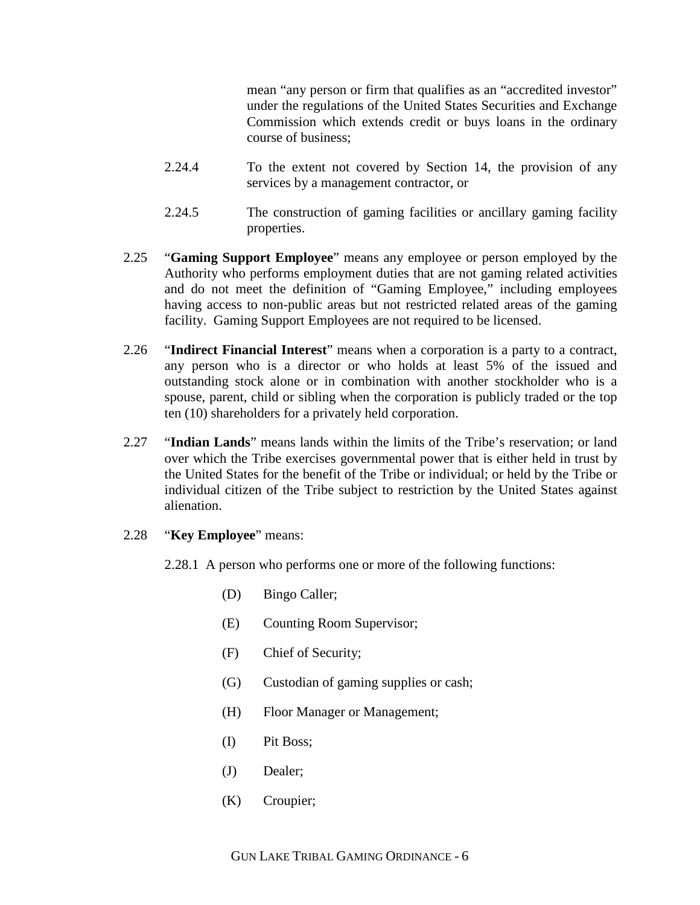mean "any person or firm that qualifies as an "accredited investor" under the regulations of the United States Securities and Exchange Commission which extends credit or buys loans in the ordinary course of business;

- 2.24.4 To the extent not covered by Section 14, the provision of any services by a management contractor, or
- 2.24.5 The construction of gaming facilities or ancillary gaming facility properties.
- 2.25 "**Gaming Support Employee**" means any employee or person employed by the Authority who performs employment duties that are not gaming related activities and do not meet the definition of "Gaming Employee," including employees having access to non-public areas but not restricted related areas of the gaming facility. Gaming Support Employees are not required to be licensed.
- 2.26 "**Indirect Financial Interest**" means when a corporation is a party to a contract, any person who is a director or who holds at least 5% of the issued and outstanding stock alone or in combination with another stockholder who is a spouse, parent, child or sibling when the corporation is publicly traded or the top ten (10) shareholders for a privately held corporation.
- 2.27 "**Indian Lands**" means lands within the limits of the Tribe's reservation; or land over which the Tribe exercises governmental power that is either held in trust by the United States for the benefit of the Tribe or individual; or held by the Tribe or individual citizen of the Tribe subject to restriction by the United States against alienation.

### 2.28 "**Key Employee**" means:

- 2.28.1 A person who performs one or more of the following functions:
	- (D) Bingo Caller;
	- (E) Counting Room Supervisor;
	- (F) Chief of Security;
	- (G) Custodian of gaming supplies or cash;
	- (H) Floor Manager or Management;
	- (I) Pit Boss;
	- (J) Dealer;
	- (K) Croupier;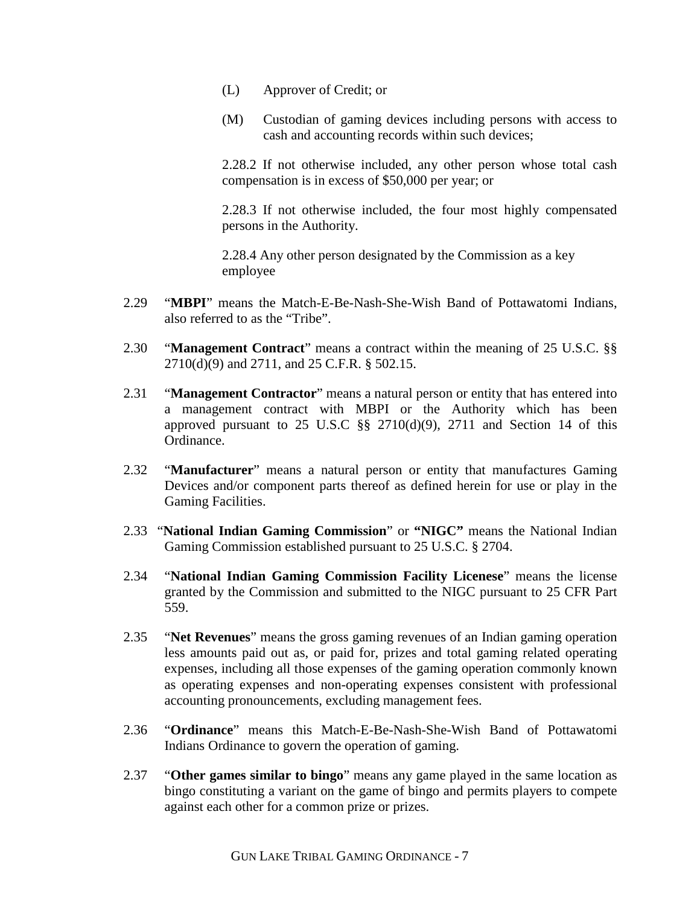- (L) Approver of Credit; or
- (M) Custodian of gaming devices including persons with access to cash and accounting records within such devices;

2.28.2 If not otherwise included, any other person whose total cash compensation is in excess of \$50,000 per year; or

2.28.3 If not otherwise included, the four most highly compensated persons in the Authority.

2.28.4 Any other person designated by the Commission as a key employee

- 2.29 "**MBPI**" means the Match-E-Be-Nash-She-Wish Band of Pottawatomi Indians, also referred to as the "Tribe".
- 2.30 "**Management Contract**" means a contract within the meaning of 25 U.S.C. §§ 2710(d)(9) and 2711, and 25 C.F.R. § 502.15.
- 2.31 "**Management Contractor**" means a natural person or entity that has entered into a management contract with MBPI or the Authority which has been approved pursuant to  $25$  U.S.C  $\S$   $\S$   $2710(d)(9)$ ,  $2711$  and Section 14 of this Ordinance.
- 2.32 "**Manufacturer**" means a natural person or entity that manufactures Gaming Devices and/or component parts thereof as defined herein for use or play in the Gaming Facilities.
- 2.33 "**National Indian Gaming Commission**" or **"NIGC"** means the National Indian Gaming Commission established pursuant to 25 U.S.C. § 2704.
- 2.34 "**National Indian Gaming Commission Facility Licenese**" means the license granted by the Commission and submitted to the NIGC pursuant to 25 CFR Part 559.
- 2.35 "**Net Revenues**" means the gross gaming revenues of an Indian gaming operation less amounts paid out as, or paid for, prizes and total gaming related operating expenses, including all those expenses of the gaming operation commonly known as operating expenses and non-operating expenses consistent with professional accounting pronouncements, excluding management fees.
- 2.36 "**Ordinance**" means this Match-E-Be-Nash-She-Wish Band of Pottawatomi Indians Ordinance to govern the operation of gaming.
- 2.37 "**Other games similar to bingo**" means any game played in the same location as bingo constituting a variant on the game of bingo and permits players to compete against each other for a common prize or prizes.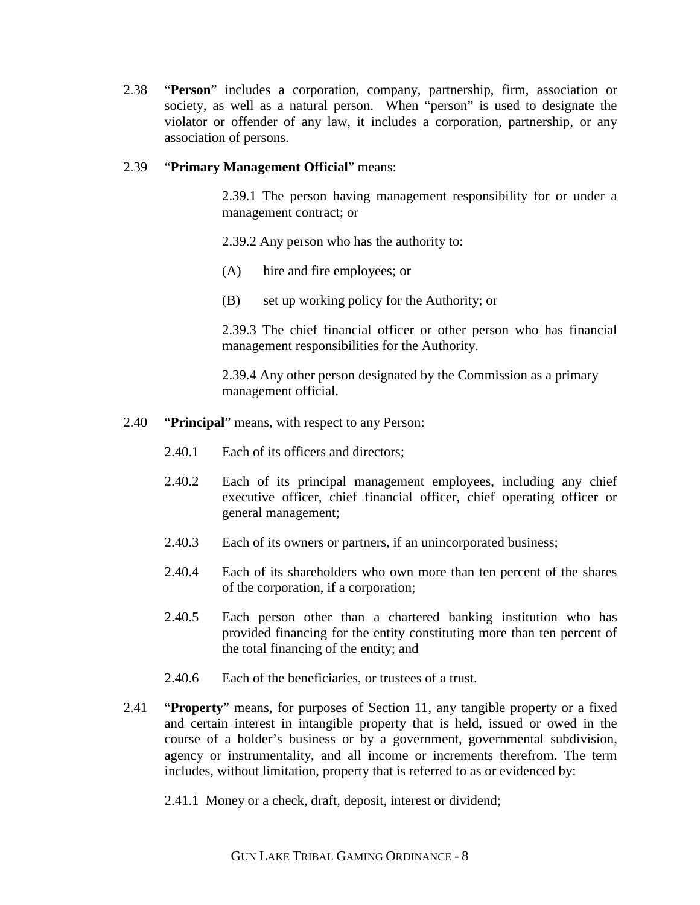2.38 "**Person**" includes a corporation, company, partnership, firm, association or society, as well as a natural person. When "person" is used to designate the violator or offender of any law, it includes a corporation, partnership, or any association of persons.

### 2.39 "**Primary Management Official**" means:

2.39.1 The person having management responsibility for or under a management contract; or

2.39.2 Any person who has the authority to:

- (A) hire and fire employees; or
- (B) set up working policy for the Authority; or

2.39.3 The chief financial officer or other person who has financial management responsibilities for the Authority.

2.39.4 Any other person designated by the Commission as a primary management official.

- 2.40 "**Principal**" means, with respect to any Person:
	- 2.40.1 Each of its officers and directors:
	- 2.40.2 Each of its principal management employees, including any chief executive officer, chief financial officer, chief operating officer or general management;
	- 2.40.3 Each of its owners or partners, if an unincorporated business;
	- 2.40.4 Each of its shareholders who own more than ten percent of the shares of the corporation, if a corporation;
	- 2.40.5 Each person other than a chartered banking institution who has provided financing for the entity constituting more than ten percent of the total financing of the entity; and
	- 2.40.6 Each of the beneficiaries, or trustees of a trust.
- 2.41 "**Property**" means, for purposes of Section 11, any tangible property or a fixed and certain interest in intangible property that is held, issued or owed in the course of a holder's business or by a government, governmental subdivision, agency or instrumentality, and all income or increments therefrom. The term includes, without limitation, property that is referred to as or evidenced by:
	- 2.41.1 Money or a check, draft, deposit, interest or dividend;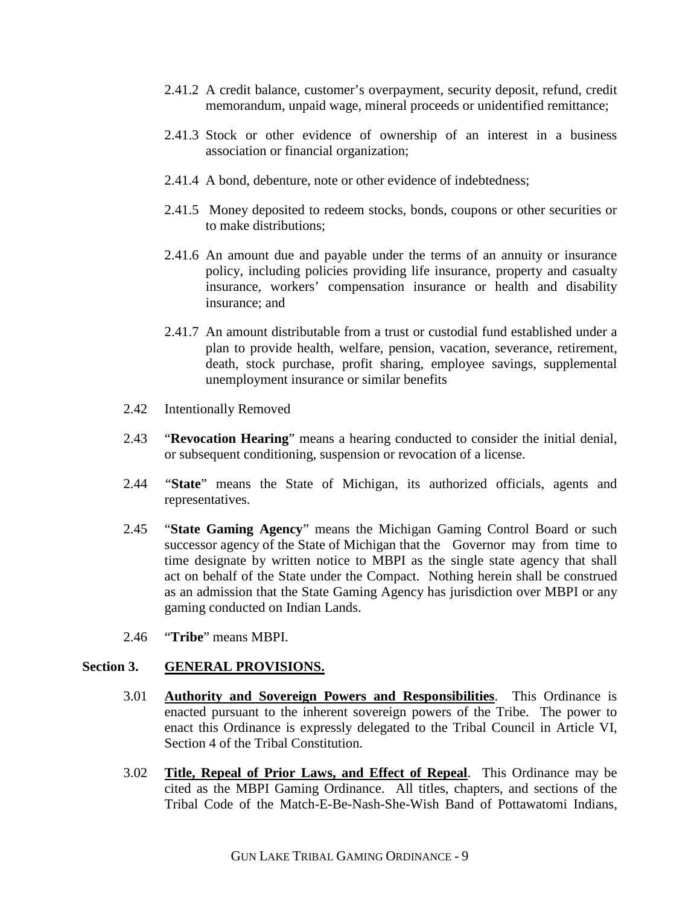- 2.41.2 A credit balance, customer's overpayment, security deposit, refund, credit memorandum, unpaid wage, mineral proceeds or unidentified remittance;
- 2.41.3 Stock or other evidence of ownership of an interest in a business association or financial organization;
- 2.41.4 A bond, debenture, note or other evidence of indebtedness;
- 2.41.5 Money deposited to redeem stocks, bonds, coupons or other securities or to make distributions;
- 2.41.6 An amount due and payable under the terms of an annuity or insurance policy, including policies providing life insurance, property and casualty insurance, workers' compensation insurance or health and disability insurance; and
- 2.41.7 An amount distributable from a trust or custodial fund established under a plan to provide health, welfare, pension, vacation, severance, retirement, death, stock purchase, profit sharing, employee savings, supplemental unemployment insurance or similar benefits
- 2.42 Intentionally Removed
- 2.43 "**Revocation Hearing**" means a hearing conducted to consider the initial denial, or subsequent conditioning, suspension or revocation of a license.
- 2.44 "**State**" means the State of Michigan, its authorized officials, agents and representatives.
- 2.45 "**State Gaming Agency**" means the Michigan Gaming Control Board or such successor agency of the State of Michigan that the Governor may from time to time designate by written notice to MBPI as the single state agency that shall act on behalf of the State under the Compact. Nothing herein shall be construed as an admission that the State Gaming Agency has jurisdiction over MBPI or any gaming conducted on Indian Lands.
- 2.46 "**Tribe**" means MBPI.

#### **Section 3. GENERAL PROVISIONS.**

- 3.01 **Authority and Sovereign Powers and Responsibilities**. This Ordinance is enacted pursuant to the inherent sovereign powers of the Tribe. The power to enact this Ordinance is expressly delegated to the Tribal Council in Article VI, Section 4 of the Tribal Constitution.
- 3.02 **Title, Repeal of Prior Laws, and Effect of Repeal**. This Ordinance may be cited as the MBPI Gaming Ordinance. All titles, chapters, and sections of the Tribal Code of the Match-E-Be-Nash-She-Wish Band of Pottawatomi Indians,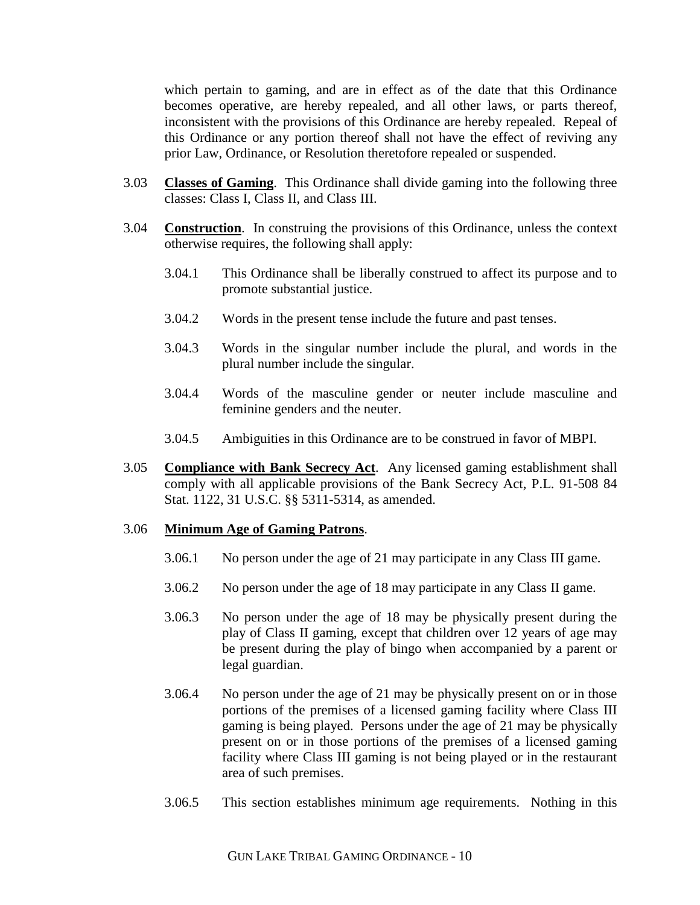which pertain to gaming, and are in effect as of the date that this Ordinance becomes operative, are hereby repealed, and all other laws, or parts thereof, inconsistent with the provisions of this Ordinance are hereby repealed. Repeal of this Ordinance or any portion thereof shall not have the effect of reviving any prior Law, Ordinance, or Resolution theretofore repealed or suspended.

- 3.03 **Classes of Gaming**. This Ordinance shall divide gaming into the following three classes: Class I, Class II, and Class III.
- 3.04 **Construction**. In construing the provisions of this Ordinance, unless the context otherwise requires, the following shall apply:
	- 3.04.1 This Ordinance shall be liberally construed to affect its purpose and to promote substantial justice.
	- 3.04.2 Words in the present tense include the future and past tenses.
	- 3.04.3 Words in the singular number include the plural, and words in the plural number include the singular.
	- 3.04.4 Words of the masculine gender or neuter include masculine and feminine genders and the neuter.
	- 3.04.5 Ambiguities in this Ordinance are to be construed in favor of MBPI.
- 3.05 **Compliance with Bank Secrecy Act**. Any licensed gaming establishment shall comply with all applicable provisions of the Bank Secrecy Act, P.L. 91-508 84 Stat. 1122, 31 U.S.C. §§ 5311-5314, as amended.

#### 3.06 **Minimum Age of Gaming Patrons**.

- 3.06.1 No person under the age of 21 may participate in any Class III game.
- 3.06.2 No person under the age of 18 may participate in any Class II game.
- 3.06.3 No person under the age of 18 may be physically present during the play of Class II gaming, except that children over 12 years of age may be present during the play of bingo when accompanied by a parent or legal guardian.
- 3.06.4 No person under the age of 21 may be physically present on or in those portions of the premises of a licensed gaming facility where Class III gaming is being played. Persons under the age of 21 may be physically present on or in those portions of the premises of a licensed gaming facility where Class III gaming is not being played or in the restaurant area of such premises.
- 3.06.5 This section establishes minimum age requirements. Nothing in this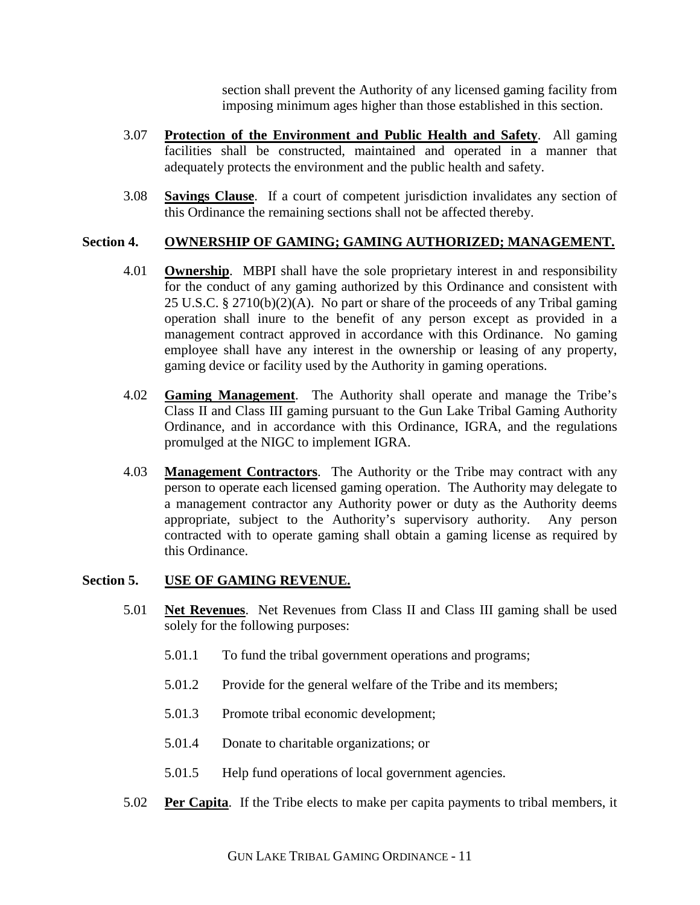section shall prevent the Authority of any licensed gaming facility from imposing minimum ages higher than those established in this section.

- 3.07 **Protection of the Environment and Public Health and Safety**. All gaming facilities shall be constructed, maintained and operated in a manner that adequately protects the environment and the public health and safety.
- 3.08 **Savings Clause**. If a court of competent jurisdiction invalidates any section of this Ordinance the remaining sections shall not be affected thereby.

# **Section 4. OWNERSHIP OF GAMING; GAMING AUTHORIZED; MANAGEMENT.**

- 4.01 **Ownership**. MBPI shall have the sole proprietary interest in and responsibility for the conduct of any gaming authorized by this Ordinance and consistent with 25 U.S.C. § 2710(b)(2)(A). No part or share of the proceeds of any Tribal gaming operation shall inure to the benefit of any person except as provided in a management contract approved in accordance with this Ordinance. No gaming employee shall have any interest in the ownership or leasing of any property, gaming device or facility used by the Authority in gaming operations.
- 4.02 **Gaming Management**. The Authority shall operate and manage the Tribe's Class II and Class III gaming pursuant to the Gun Lake Tribal Gaming Authority Ordinance, and in accordance with this Ordinance, IGRA, and the regulations promulged at the NIGC to implement IGRA.
- 4.03 **Management Contractors**. The Authority or the Tribe may contract with any person to operate each licensed gaming operation. The Authority may delegate to a management contractor any Authority power or duty as the Authority deems appropriate, subject to the Authority's supervisory authority. Any person contracted with to operate gaming shall obtain a gaming license as required by this Ordinance.

### **Section 5. USE OF GAMING REVENUE.**

- 5.01 **Net Revenues**. Net Revenues from Class II and Class III gaming shall be used solely for the following purposes:
	- 5.01.1 To fund the tribal government operations and programs;
	- 5.01.2 Provide for the general welfare of the Tribe and its members;
	- 5.01.3 Promote tribal economic development;
	- 5.01.4 Donate to charitable organizations; or
	- 5.01.5 Help fund operations of local government agencies.
- 5.02 **Per Capita**. If the Tribe elects to make per capita payments to tribal members, it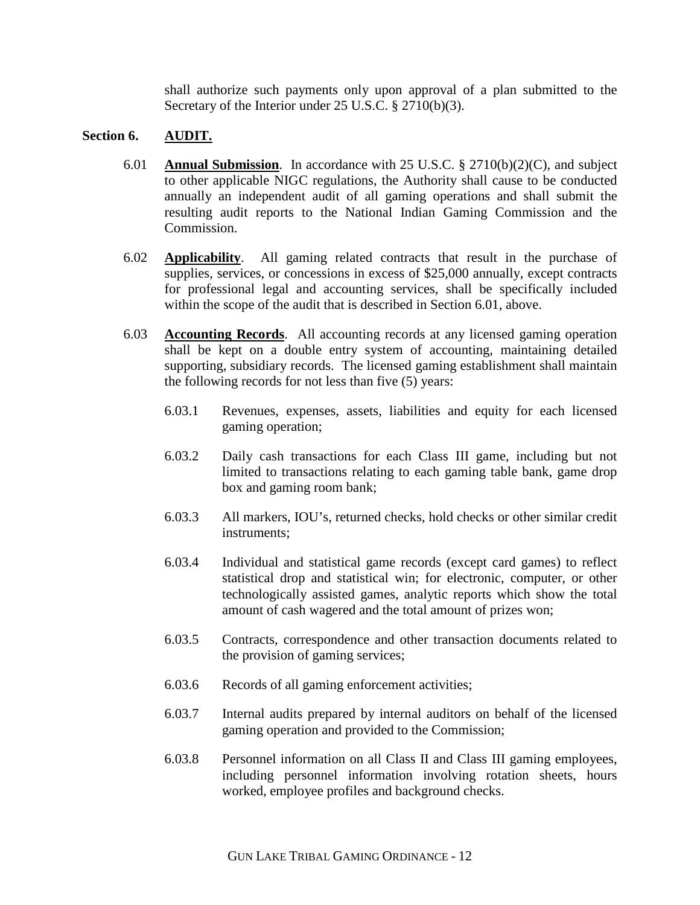shall authorize such payments only upon approval of a plan submitted to the Secretary of the Interior under 25 U.S.C. § 2710(b)(3).

## **Section 6. AUDIT.**

- 6.01 **Annual Submission**. In accordance with 25 U.S.C. § 2710(b)(2)(C), and subject to other applicable NIGC regulations, the Authority shall cause to be conducted annually an independent audit of all gaming operations and shall submit the resulting audit reports to the National Indian Gaming Commission and the Commission.
- 6.02 **Applicability**. All gaming related contracts that result in the purchase of supplies, services, or concessions in excess of \$25,000 annually, except contracts for professional legal and accounting services, shall be specifically included within the scope of the audit that is described in Section 6.01, above.
- 6.03 **Accounting Records**. All accounting records at any licensed gaming operation shall be kept on a double entry system of accounting, maintaining detailed supporting, subsidiary records. The licensed gaming establishment shall maintain the following records for not less than five (5) years:
	- 6.03.1 Revenues, expenses, assets, liabilities and equity for each licensed gaming operation;
	- 6.03.2 Daily cash transactions for each Class III game, including but not limited to transactions relating to each gaming table bank, game drop box and gaming room bank;
	- 6.03.3 All markers, IOU's, returned checks, hold checks or other similar credit instruments;
	- 6.03.4 Individual and statistical game records (except card games) to reflect statistical drop and statistical win; for electronic, computer, or other technologically assisted games, analytic reports which show the total amount of cash wagered and the total amount of prizes won;
	- 6.03.5 Contracts, correspondence and other transaction documents related to the provision of gaming services;
	- 6.03.6 Records of all gaming enforcement activities;
	- 6.03.7 Internal audits prepared by internal auditors on behalf of the licensed gaming operation and provided to the Commission;
	- 6.03.8 Personnel information on all Class II and Class III gaming employees, including personnel information involving rotation sheets, hours worked, employee profiles and background checks.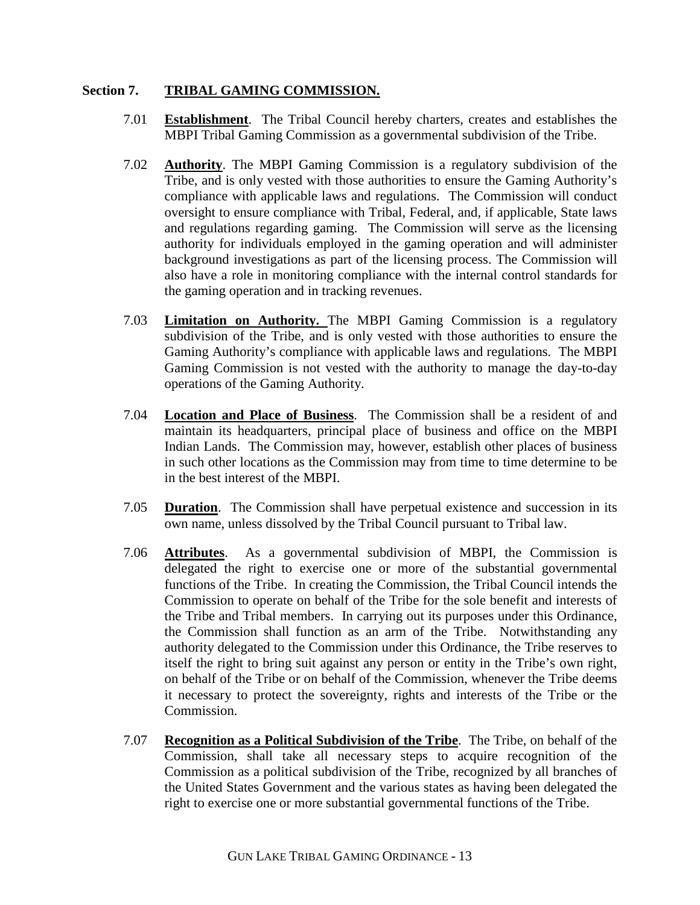## **Section 7. TRIBAL GAMING COMMISSION.**

- 7.01 **Establishment**. The Tribal Council hereby charters, creates and establishes the MBPI Tribal Gaming Commission as a governmental subdivision of the Tribe.
- 7.02 **Authority**. The MBPI Gaming Commission is a regulatory subdivision of the Tribe, and is only vested with those authorities to ensure the Gaming Authority's compliance with applicable laws and regulations. The Commission will conduct oversight to ensure compliance with Tribal, Federal, and, if applicable, State laws and regulations regarding gaming. The Commission will serve as the licensing authority for individuals employed in the gaming operation and will administer background investigations as part of the licensing process. The Commission will also have a role in monitoring compliance with the internal control standards for the gaming operation and in tracking revenues.
- 7.03 **Limitation on Authority.** The MBPI Gaming Commission is a regulatory subdivision of the Tribe, and is only vested with those authorities to ensure the Gaming Authority's compliance with applicable laws and regulations. The MBPI Gaming Commission is not vested with the authority to manage the day-to-day operations of the Gaming Authority.
- 7.04 **Location and Place of Business**. The Commission shall be a resident of and maintain its headquarters, principal place of business and office on the MBPI Indian Lands. The Commission may, however, establish other places of business in such other locations as the Commission may from time to time determine to be in the best interest of the MBPI.
- 7.05 **Duration**. The Commission shall have perpetual existence and succession in its own name, unless dissolved by the Tribal Council pursuant to Tribal law.
- 7.06 **Attributes**. As a governmental subdivision of MBPI, the Commission is delegated the right to exercise one or more of the substantial governmental functions of the Tribe. In creating the Commission, the Tribal Council intends the Commission to operate on behalf of the Tribe for the sole benefit and interests of the Tribe and Tribal members. In carrying out its purposes under this Ordinance, the Commission shall function as an arm of the Tribe. Notwithstanding any authority delegated to the Commission under this Ordinance, the Tribe reserves to itself the right to bring suit against any person or entity in the Tribe's own right, on behalf of the Tribe or on behalf of the Commission, whenever the Tribe deems it necessary to protect the sovereignty, rights and interests of the Tribe or the Commission.
- 7.07 **Recognition as a Political Subdivision of the Tribe**. The Tribe, on behalf of the Commission, shall take all necessary steps to acquire recognition of the Commission as a political subdivision of the Tribe, recognized by all branches of the United States Government and the various states as having been delegated the right to exercise one or more substantial governmental functions of the Tribe.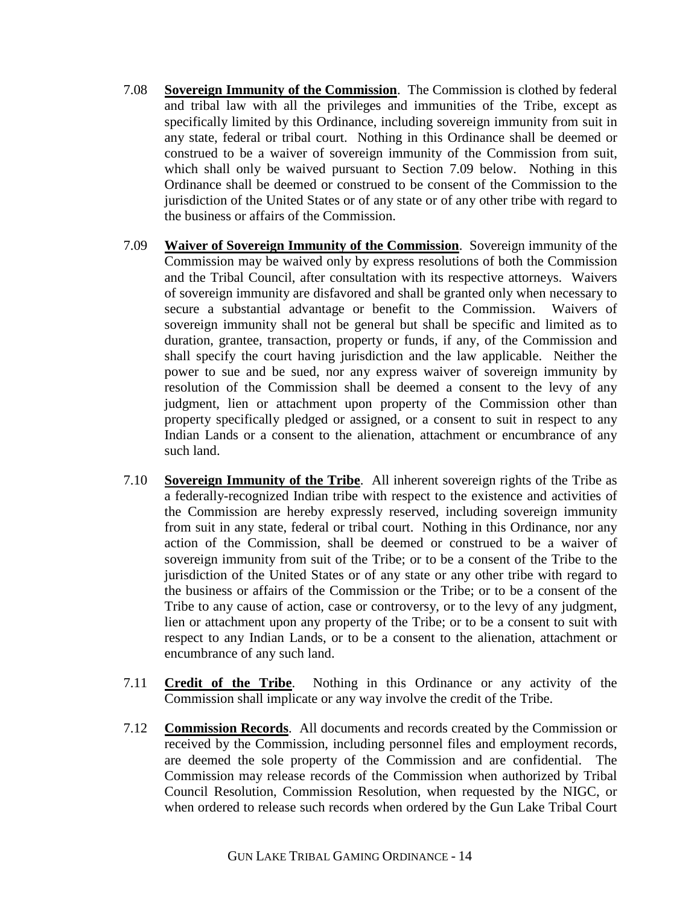- 7.08 **Sovereign Immunity of the Commission**. The Commission is clothed by federal and tribal law with all the privileges and immunities of the Tribe, except as specifically limited by this Ordinance, including sovereign immunity from suit in any state, federal or tribal court. Nothing in this Ordinance shall be deemed or construed to be a waiver of sovereign immunity of the Commission from suit, which shall only be waived pursuant to Section 7.09 below. Nothing in this Ordinance shall be deemed or construed to be consent of the Commission to the jurisdiction of the United States or of any state or of any other tribe with regard to the business or affairs of the Commission.
- 7.09 **Waiver of Sovereign Immunity of the Commission**. Sovereign immunity of the Commission may be waived only by express resolutions of both the Commission and the Tribal Council, after consultation with its respective attorneys. Waivers of sovereign immunity are disfavored and shall be granted only when necessary to secure a substantial advantage or benefit to the Commission. Waivers of sovereign immunity shall not be general but shall be specific and limited as to duration, grantee, transaction, property or funds, if any, of the Commission and shall specify the court having jurisdiction and the law applicable. Neither the power to sue and be sued, nor any express waiver of sovereign immunity by resolution of the Commission shall be deemed a consent to the levy of any judgment, lien or attachment upon property of the Commission other than property specifically pledged or assigned, or a consent to suit in respect to any Indian Lands or a consent to the alienation, attachment or encumbrance of any such land.
- 7.10 **Sovereign Immunity of the Tribe**. All inherent sovereign rights of the Tribe as a federally-recognized Indian tribe with respect to the existence and activities of the Commission are hereby expressly reserved, including sovereign immunity from suit in any state, federal or tribal court. Nothing in this Ordinance, nor any action of the Commission, shall be deemed or construed to be a waiver of sovereign immunity from suit of the Tribe; or to be a consent of the Tribe to the jurisdiction of the United States or of any state or any other tribe with regard to the business or affairs of the Commission or the Tribe; or to be a consent of the Tribe to any cause of action, case or controversy, or to the levy of any judgment, lien or attachment upon any property of the Tribe; or to be a consent to suit with respect to any Indian Lands, or to be a consent to the alienation, attachment or encumbrance of any such land.
- 7.11 **Credit of the Tribe**. Nothing in this Ordinance or any activity of the Commission shall implicate or any way involve the credit of the Tribe.
- 7.12 **Commission Records**. All documents and records created by the Commission or received by the Commission, including personnel files and employment records, are deemed the sole property of the Commission and are confidential. The Commission may release records of the Commission when authorized by Tribal Council Resolution, Commission Resolution, when requested by the NIGC, or when ordered to release such records when ordered by the Gun Lake Tribal Court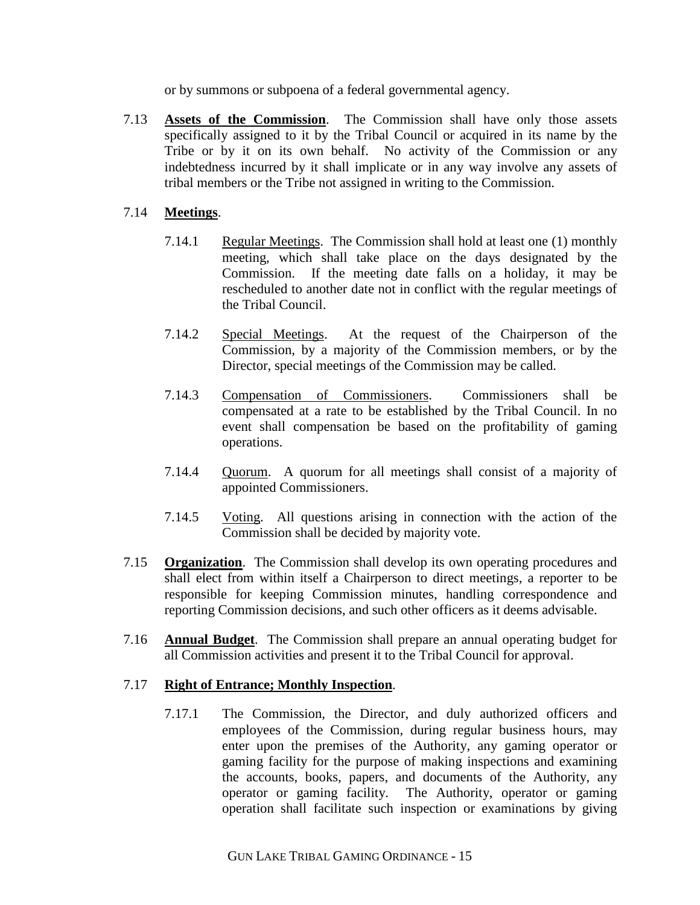or by summons or subpoena of a federal governmental agency.

7.13 **Assets of the Commission**. The Commission shall have only those assets specifically assigned to it by the Tribal Council or acquired in its name by the Tribe or by it on its own behalf. No activity of the Commission or any indebtedness incurred by it shall implicate or in any way involve any assets of tribal members or the Tribe not assigned in writing to the Commission.

# 7.14 **Meetings**.

- 7.14.1 Regular Meetings. The Commission shall hold at least one (1) monthly meeting, which shall take place on the days designated by the Commission. If the meeting date falls on a holiday, it may be rescheduled to another date not in conflict with the regular meetings of the Tribal Council.
- 7.14.2 Special Meetings. At the request of the Chairperson of the Commission, by a majority of the Commission members, or by the Director, special meetings of the Commission may be called.
- 7.14.3 Compensation of Commissioners. Commissioners shall be compensated at a rate to be established by the Tribal Council. In no event shall compensation be based on the profitability of gaming operations.
- 7.14.4 Quorum. A quorum for all meetings shall consist of a majority of appointed Commissioners.
- 7.14.5 Voting. All questions arising in connection with the action of the Commission shall be decided by majority vote.
- 7.15 **Organization**. The Commission shall develop its own operating procedures and shall elect from within itself a Chairperson to direct meetings, a reporter to be responsible for keeping Commission minutes, handling correspondence and reporting Commission decisions, and such other officers as it deems advisable.
- 7.16 **Annual Budget**. The Commission shall prepare an annual operating budget for all Commission activities and present it to the Tribal Council for approval.

# 7.17 **Right of Entrance; Monthly Inspection**.

7.17.1 The Commission, the Director, and duly authorized officers and employees of the Commission, during regular business hours, may enter upon the premises of the Authority, any gaming operator or gaming facility for the purpose of making inspections and examining the accounts, books, papers, and documents of the Authority, any operator or gaming facility. The Authority, operator or gaming operation shall facilitate such inspection or examinations by giving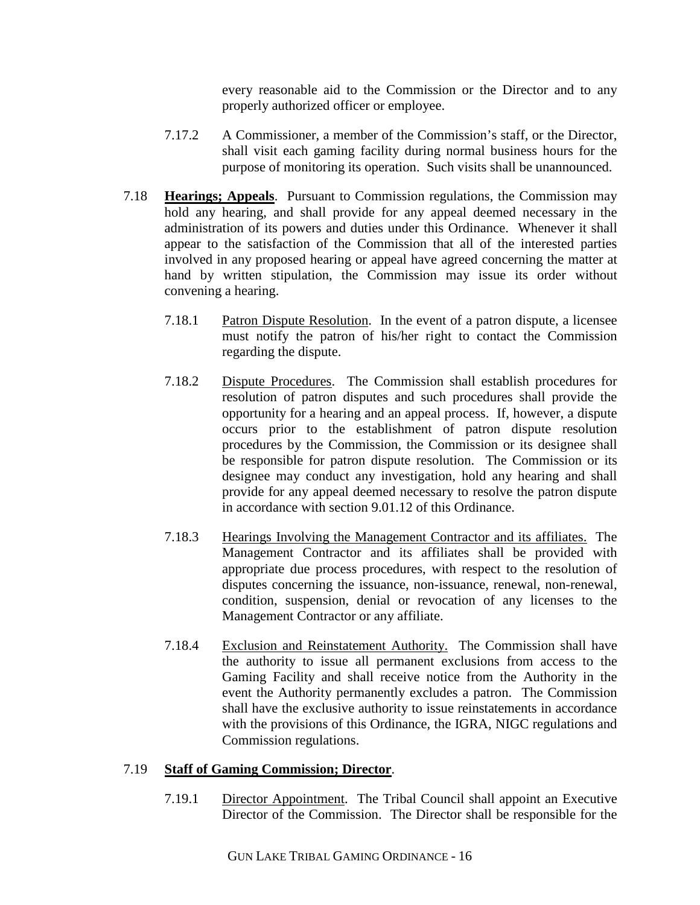every reasonable aid to the Commission or the Director and to any properly authorized officer or employee.

- 7.17.2 A Commissioner, a member of the Commission's staff, or the Director, shall visit each gaming facility during normal business hours for the purpose of monitoring its operation. Such visits shall be unannounced.
- 7.18 **Hearings; Appeals**. Pursuant to Commission regulations, the Commission may hold any hearing, and shall provide for any appeal deemed necessary in the administration of its powers and duties under this Ordinance. Whenever it shall appear to the satisfaction of the Commission that all of the interested parties involved in any proposed hearing or appeal have agreed concerning the matter at hand by written stipulation, the Commission may issue its order without convening a hearing.
	- 7.18.1 Patron Dispute Resolution. In the event of a patron dispute, a licensee must notify the patron of his/her right to contact the Commission regarding the dispute.
	- 7.18.2 Dispute Procedures. The Commission shall establish procedures for resolution of patron disputes and such procedures shall provide the opportunity for a hearing and an appeal process. If, however, a dispute occurs prior to the establishment of patron dispute resolution procedures by the Commission, the Commission or its designee shall be responsible for patron dispute resolution. The Commission or its designee may conduct any investigation, hold any hearing and shall provide for any appeal deemed necessary to resolve the patron dispute in accordance with section 9.01.12 of this Ordinance.
	- 7.18.3 Hearings Involving the Management Contractor and its affiliates. The Management Contractor and its affiliates shall be provided with appropriate due process procedures, with respect to the resolution of disputes concerning the issuance, non-issuance, renewal, non-renewal, condition, suspension, denial or revocation of any licenses to the Management Contractor or any affiliate.
	- 7.18.4 Exclusion and Reinstatement Authority. The Commission shall have the authority to issue all permanent exclusions from access to the Gaming Facility and shall receive notice from the Authority in the event the Authority permanently excludes a patron. The Commission shall have the exclusive authority to issue reinstatements in accordance with the provisions of this Ordinance, the IGRA, NIGC regulations and Commission regulations.

# 7.19 **Staff of Gaming Commission; Director**.

7.19.1 Director Appointment. The Tribal Council shall appoint an Executive Director of the Commission. The Director shall be responsible for the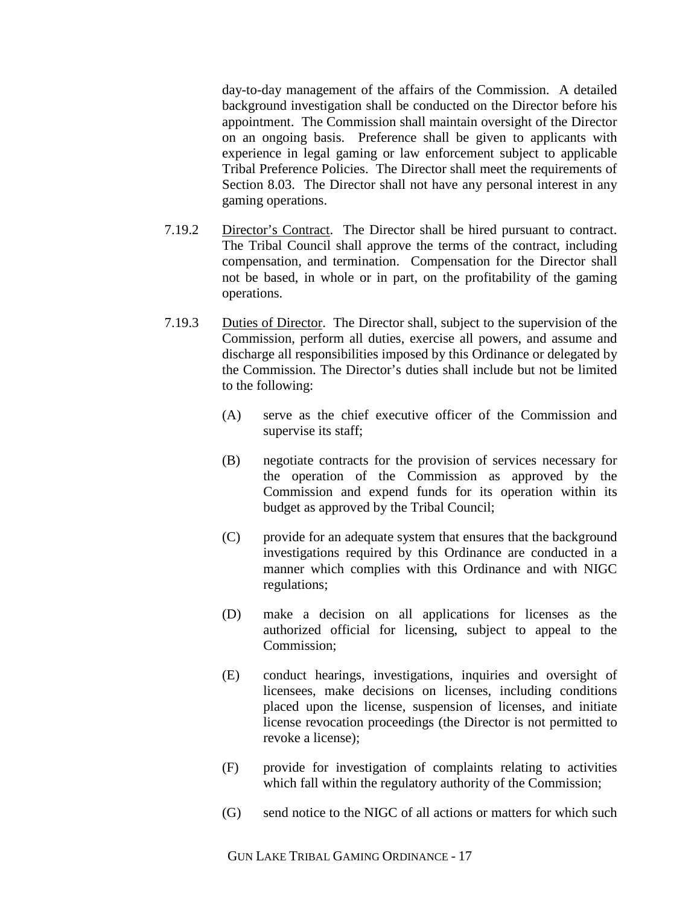day-to-day management of the affairs of the Commission. A detailed background investigation shall be conducted on the Director before his appointment. The Commission shall maintain oversight of the Director on an ongoing basis. Preference shall be given to applicants with experience in legal gaming or law enforcement subject to applicable Tribal Preference Policies. The Director shall meet the requirements of Section 8.03. The Director shall not have any personal interest in any gaming operations.

- 7.19.2 Director's Contract. The Director shall be hired pursuant to contract. The Tribal Council shall approve the terms of the contract, including compensation, and termination. Compensation for the Director shall not be based, in whole or in part, on the profitability of the gaming operations.
- 7.19.3 Duties of Director. The Director shall, subject to the supervision of the Commission, perform all duties, exercise all powers, and assume and discharge all responsibilities imposed by this Ordinance or delegated by the Commission. The Director's duties shall include but not be limited to the following:
	- (A) serve as the chief executive officer of the Commission and supervise its staff;
	- (B) negotiate contracts for the provision of services necessary for the operation of the Commission as approved by the Commission and expend funds for its operation within its budget as approved by the Tribal Council;
	- (C) provide for an adequate system that ensures that the background investigations required by this Ordinance are conducted in a manner which complies with this Ordinance and with NIGC regulations;
	- (D) make a decision on all applications for licenses as the authorized official for licensing, subject to appeal to the Commission;
	- (E) conduct hearings, investigations, inquiries and oversight of licensees, make decisions on licenses, including conditions placed upon the license, suspension of licenses, and initiate license revocation proceedings (the Director is not permitted to revoke a license);
	- (F) provide for investigation of complaints relating to activities which fall within the regulatory authority of the Commission;
	- (G) send notice to the NIGC of all actions or matters for which such

GUN LAKE TRIBAL GAMING ORDINANCE - 17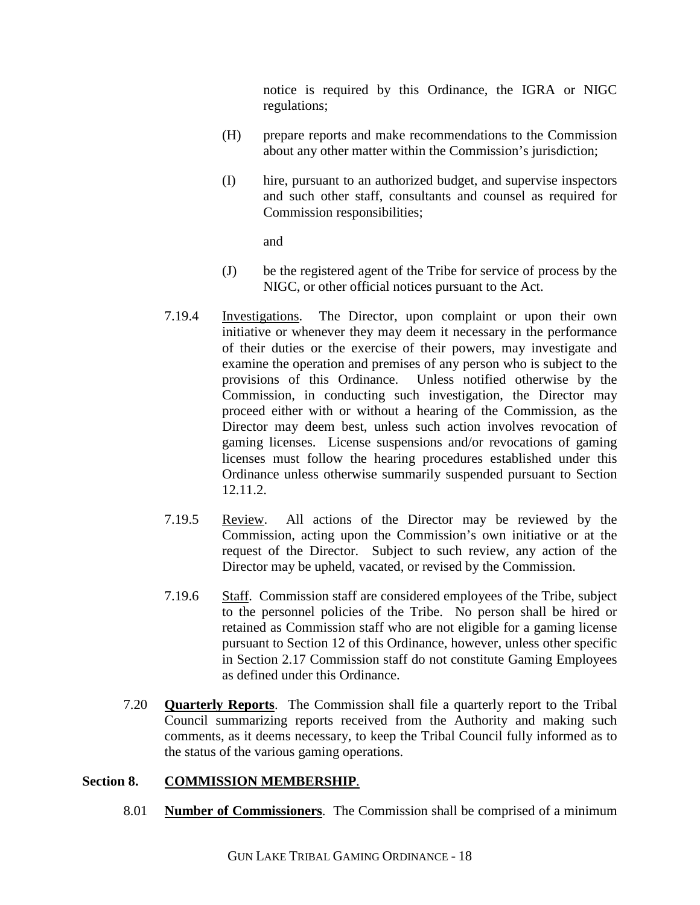notice is required by this Ordinance, the IGRA or NIGC regulations;

- (H) prepare reports and make recommendations to the Commission about any other matter within the Commission's jurisdiction;
- (I) hire, pursuant to an authorized budget, and supervise inspectors and such other staff, consultants and counsel as required for Commission responsibilities;

and

- (J) be the registered agent of the Tribe for service of process by the NIGC, or other official notices pursuant to the Act.
- 7.19.4 Investigations. The Director, upon complaint or upon their own initiative or whenever they may deem it necessary in the performance of their duties or the exercise of their powers, may investigate and examine the operation and premises of any person who is subject to the provisions of this Ordinance. Unless notified otherwise by the Commission, in conducting such investigation, the Director may proceed either with or without a hearing of the Commission, as the Director may deem best, unless such action involves revocation of gaming licenses. License suspensions and/or revocations of gaming licenses must follow the hearing procedures established under this Ordinance unless otherwise summarily suspended pursuant to Section 12.11.2.
- 7.19.5 Review. All actions of the Director may be reviewed by the Commission, acting upon the Commission's own initiative or at the request of the Director. Subject to such review, any action of the Director may be upheld, vacated, or revised by the Commission.
- 7.19.6 Staff. Commission staff are considered employees of the Tribe, subject to the personnel policies of the Tribe. No person shall be hired or retained as Commission staff who are not eligible for a gaming license pursuant to Section 12 of this Ordinance, however, unless other specific in Section 2.17 Commission staff do not constitute Gaming Employees as defined under this Ordinance.
- 7.20 **Quarterly Reports**. The Commission shall file a quarterly report to the Tribal Council summarizing reports received from the Authority and making such comments, as it deems necessary, to keep the Tribal Council fully informed as to the status of the various gaming operations.

# **Section 8. COMMISSION MEMBERSHIP**.

8.01 **Number of Commissioners**. The Commission shall be comprised of a minimum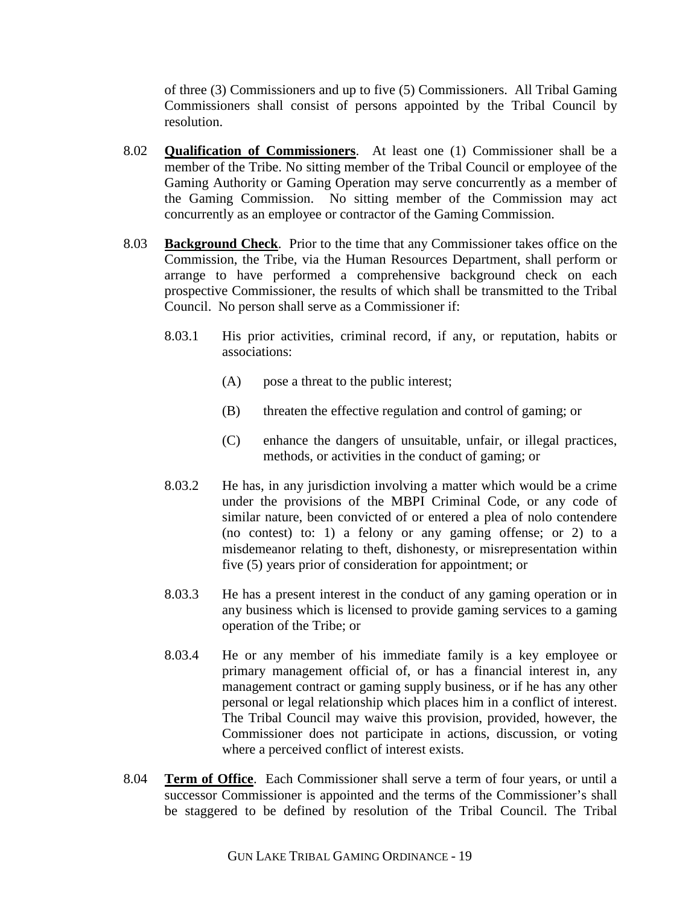of three (3) Commissioners and up to five (5) Commissioners. All Tribal Gaming Commissioners shall consist of persons appointed by the Tribal Council by resolution.

- 8.02 **Qualification of Commissioners**. At least one (1) Commissioner shall be a member of the Tribe. No sitting member of the Tribal Council or employee of the Gaming Authority or Gaming Operation may serve concurrently as a member of the Gaming Commission. No sitting member of the Commission may act concurrently as an employee or contractor of the Gaming Commission.
- 8.03 **Background Check**. Prior to the time that any Commissioner takes office on the Commission, the Tribe, via the Human Resources Department, shall perform or arrange to have performed a comprehensive background check on each prospective Commissioner, the results of which shall be transmitted to the Tribal Council. No person shall serve as a Commissioner if:
	- 8.03.1 His prior activities, criminal record, if any, or reputation, habits or associations:
		- (A) pose a threat to the public interest;
		- (B) threaten the effective regulation and control of gaming; or
		- (C) enhance the dangers of unsuitable, unfair, or illegal practices, methods, or activities in the conduct of gaming; or
	- 8.03.2 He has, in any jurisdiction involving a matter which would be a crime under the provisions of the MBPI Criminal Code, or any code of similar nature, been convicted of or entered a plea of nolo contendere (no contest) to: 1) a felony or any gaming offense; or 2) to a misdemeanor relating to theft, dishonesty, or misrepresentation within five (5) years prior of consideration for appointment; or
	- 8.03.3 He has a present interest in the conduct of any gaming operation or in any business which is licensed to provide gaming services to a gaming operation of the Tribe; or
	- 8.03.4 He or any member of his immediate family is a key employee or primary management official of, or has a financial interest in, any management contract or gaming supply business, or if he has any other personal or legal relationship which places him in a conflict of interest. The Tribal Council may waive this provision, provided, however, the Commissioner does not participate in actions, discussion, or voting where a perceived conflict of interest exists.
- 8.04 **Term of Office**. Each Commissioner shall serve a term of four years, or until a successor Commissioner is appointed and the terms of the Commissioner's shall be staggered to be defined by resolution of the Tribal Council. The Tribal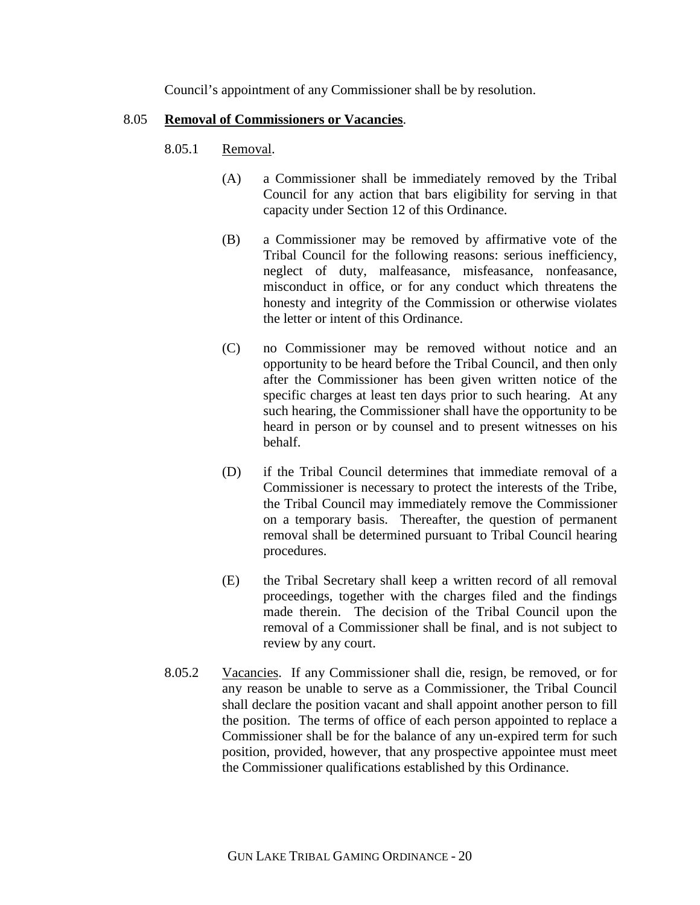Council's appointment of any Commissioner shall be by resolution.

### 8.05 **Removal of Commissioners or Vacancies**.

## 8.05.1 Removal.

- (A) a Commissioner shall be immediately removed by the Tribal Council for any action that bars eligibility for serving in that capacity under Section 12 of this Ordinance.
- (B) a Commissioner may be removed by affirmative vote of the Tribal Council for the following reasons: serious inefficiency, neglect of duty, malfeasance, misfeasance, nonfeasance, misconduct in office, or for any conduct which threatens the honesty and integrity of the Commission or otherwise violates the letter or intent of this Ordinance.
- (C) no Commissioner may be removed without notice and an opportunity to be heard before the Tribal Council, and then only after the Commissioner has been given written notice of the specific charges at least ten days prior to such hearing. At any such hearing, the Commissioner shall have the opportunity to be heard in person or by counsel and to present witnesses on his behalf.
- (D) if the Tribal Council determines that immediate removal of a Commissioner is necessary to protect the interests of the Tribe, the Tribal Council may immediately remove the Commissioner on a temporary basis. Thereafter, the question of permanent removal shall be determined pursuant to Tribal Council hearing procedures.
- (E) the Tribal Secretary shall keep a written record of all removal proceedings, together with the charges filed and the findings made therein. The decision of the Tribal Council upon the removal of a Commissioner shall be final, and is not subject to review by any court.
- 8.05.2 Vacancies. If any Commissioner shall die, resign, be removed, or for any reason be unable to serve as a Commissioner, the Tribal Council shall declare the position vacant and shall appoint another person to fill the position. The terms of office of each person appointed to replace a Commissioner shall be for the balance of any un-expired term for such position, provided, however, that any prospective appointee must meet the Commissioner qualifications established by this Ordinance.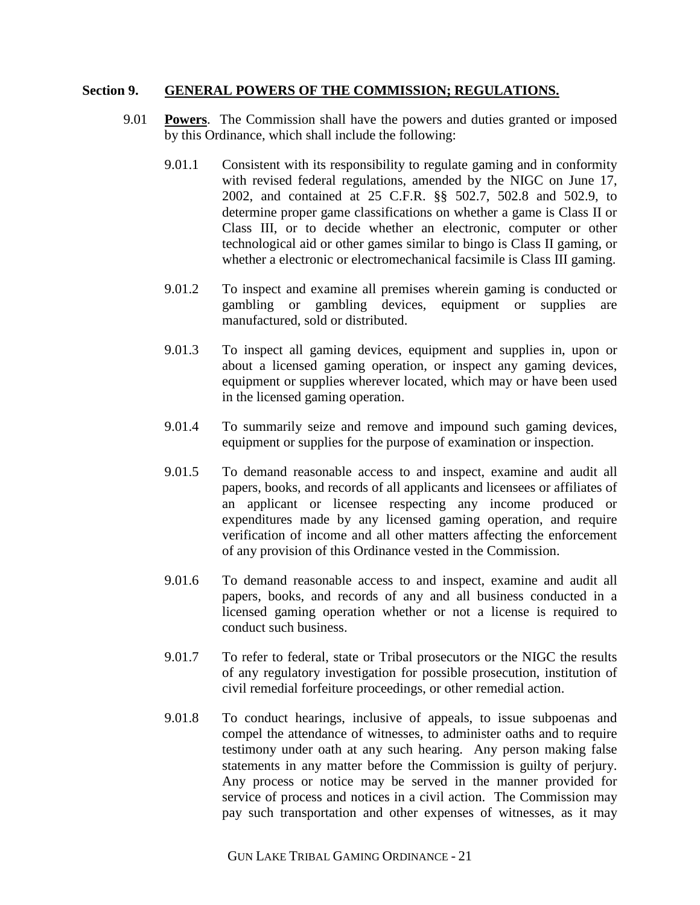#### **Section 9. GENERAL POWERS OF THE COMMISSION; REGULATIONS.**

- 9.01 **Powers**. The Commission shall have the powers and duties granted or imposed by this Ordinance, which shall include the following:
	- 9.01.1 Consistent with its responsibility to regulate gaming and in conformity with revised federal regulations, amended by the NIGC on June 17, 2002, and contained at 25 C.F.R. §§ 502.7, 502.8 and 502.9, to determine proper game classifications on whether a game is Class II or Class III, or to decide whether an electronic, computer or other technological aid or other games similar to bingo is Class II gaming, or whether a electronic or electromechanical facsimile is Class III gaming.
	- 9.01.2 To inspect and examine all premises wherein gaming is conducted or gambling or gambling devices, equipment or supplies are manufactured, sold or distributed.
	- 9.01.3 To inspect all gaming devices, equipment and supplies in, upon or about a licensed gaming operation, or inspect any gaming devices, equipment or supplies wherever located, which may or have been used in the licensed gaming operation.
	- 9.01.4 To summarily seize and remove and impound such gaming devices, equipment or supplies for the purpose of examination or inspection.
	- 9.01.5 To demand reasonable access to and inspect, examine and audit all papers, books, and records of all applicants and licensees or affiliates of an applicant or licensee respecting any income produced or expenditures made by any licensed gaming operation, and require verification of income and all other matters affecting the enforcement of any provision of this Ordinance vested in the Commission.
	- 9.01.6 To demand reasonable access to and inspect, examine and audit all papers, books, and records of any and all business conducted in a licensed gaming operation whether or not a license is required to conduct such business.
	- 9.01.7 To refer to federal, state or Tribal prosecutors or the NIGC the results of any regulatory investigation for possible prosecution, institution of civil remedial forfeiture proceedings, or other remedial action.
	- 9.01.8 To conduct hearings, inclusive of appeals, to issue subpoenas and compel the attendance of witnesses, to administer oaths and to require testimony under oath at any such hearing. Any person making false statements in any matter before the Commission is guilty of perjury. Any process or notice may be served in the manner provided for service of process and notices in a civil action. The Commission may pay such transportation and other expenses of witnesses, as it may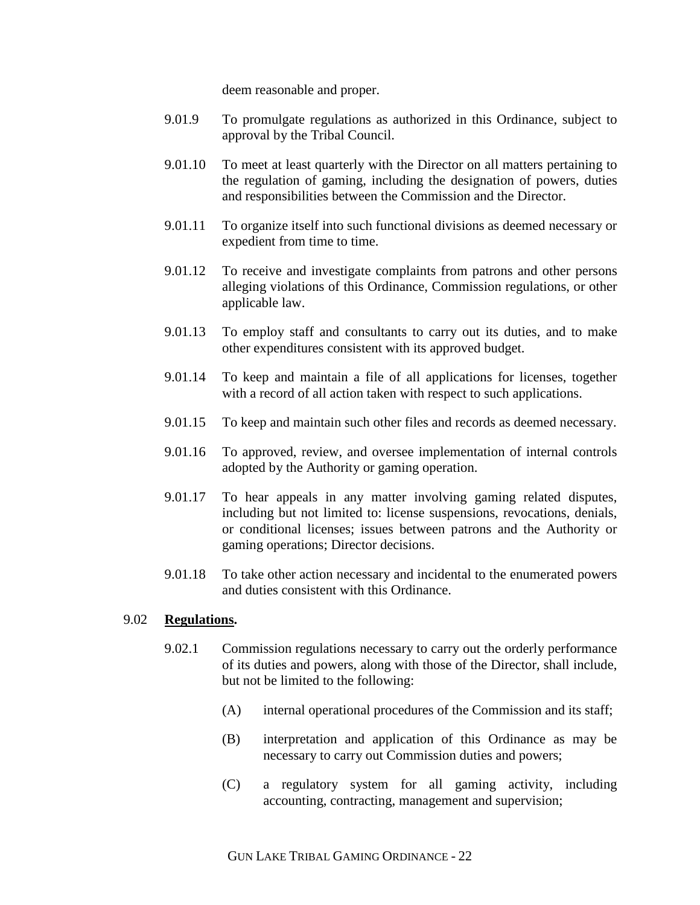deem reasonable and proper.

- 9.01.9 To promulgate regulations as authorized in this Ordinance, subject to approval by the Tribal Council.
- 9.01.10 To meet at least quarterly with the Director on all matters pertaining to the regulation of gaming, including the designation of powers, duties and responsibilities between the Commission and the Director.
- 9.01.11 To organize itself into such functional divisions as deemed necessary or expedient from time to time.
- 9.01.12 To receive and investigate complaints from patrons and other persons alleging violations of this Ordinance, Commission regulations, or other applicable law.
- 9.01.13 To employ staff and consultants to carry out its duties, and to make other expenditures consistent with its approved budget.
- 9.01.14 To keep and maintain a file of all applications for licenses, together with a record of all action taken with respect to such applications.
- 9.01.15 To keep and maintain such other files and records as deemed necessary.
- 9.01.16 To approved, review, and oversee implementation of internal controls adopted by the Authority or gaming operation.
- 9.01.17 To hear appeals in any matter involving gaming related disputes, including but not limited to: license suspensions, revocations, denials, or conditional licenses; issues between patrons and the Authority or gaming operations; Director decisions.
- 9.01.18 To take other action necessary and incidental to the enumerated powers and duties consistent with this Ordinance.

#### 9.02 **Regulations.**

- 9.02.1 Commission regulations necessary to carry out the orderly performance of its duties and powers, along with those of the Director, shall include, but not be limited to the following:
	- (A) internal operational procedures of the Commission and its staff;
	- (B) interpretation and application of this Ordinance as may be necessary to carry out Commission duties and powers;
	- (C) a regulatory system for all gaming activity, including accounting, contracting, management and supervision;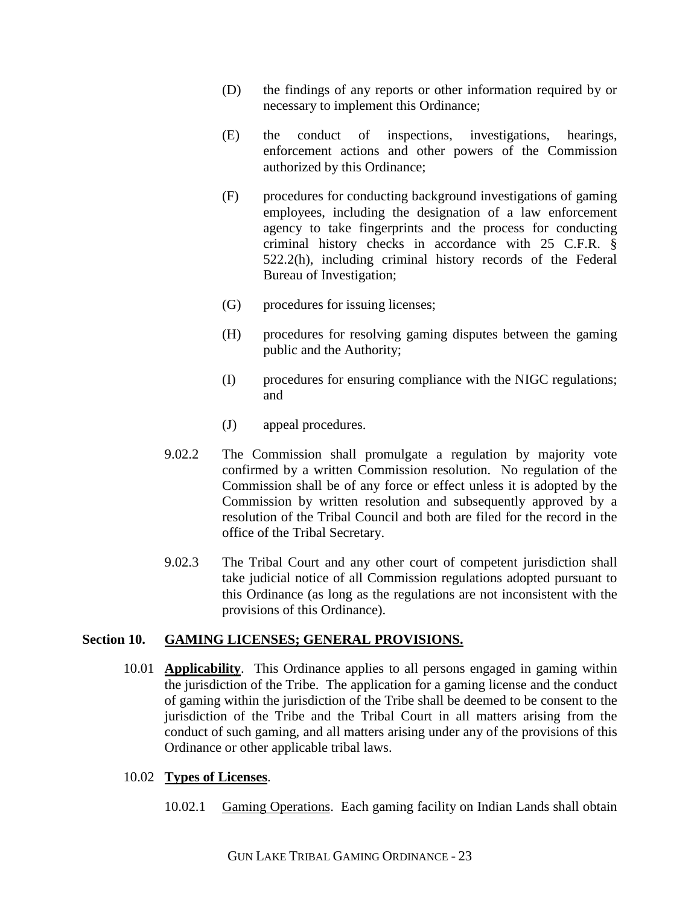- (D) the findings of any reports or other information required by or necessary to implement this Ordinance;
- (E) the conduct of inspections, investigations, hearings, enforcement actions and other powers of the Commission authorized by this Ordinance;
- (F) procedures for conducting background investigations of gaming employees, including the designation of a law enforcement agency to take fingerprints and the process for conducting criminal history checks in accordance with 25 C.F.R. § 522.2(h), including criminal history records of the Federal Bureau of Investigation;
- (G) procedures for issuing licenses;
- (H) procedures for resolving gaming disputes between the gaming public and the Authority;
- (I) procedures for ensuring compliance with the NIGC regulations; and
- (J) appeal procedures.
- 9.02.2 The Commission shall promulgate a regulation by majority vote confirmed by a written Commission resolution. No regulation of the Commission shall be of any force or effect unless it is adopted by the Commission by written resolution and subsequently approved by a resolution of the Tribal Council and both are filed for the record in the office of the Tribal Secretary.
- 9.02.3 The Tribal Court and any other court of competent jurisdiction shall take judicial notice of all Commission regulations adopted pursuant to this Ordinance (as long as the regulations are not inconsistent with the provisions of this Ordinance).

### **Section 10. GAMING LICENSES; GENERAL PROVISIONS.**

10.01 **Applicability**. This Ordinance applies to all persons engaged in gaming within the jurisdiction of the Tribe. The application for a gaming license and the conduct of gaming within the jurisdiction of the Tribe shall be deemed to be consent to the jurisdiction of the Tribe and the Tribal Court in all matters arising from the conduct of such gaming, and all matters arising under any of the provisions of this Ordinance or other applicable tribal laws.

## 10.02 **Types of Licenses**.

10.02.1 Gaming Operations. Each gaming facility on Indian Lands shall obtain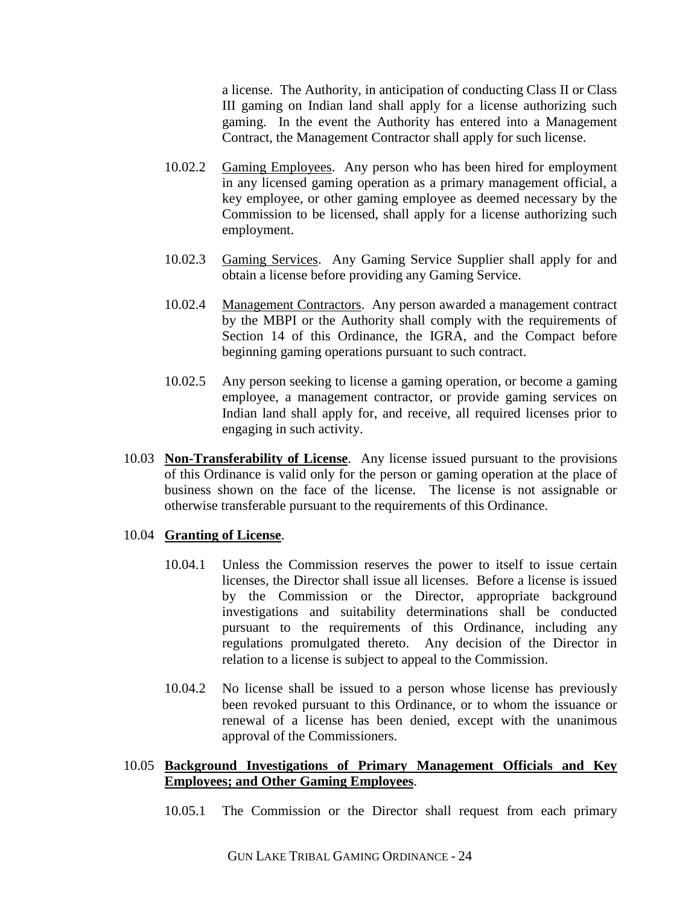a license. The Authority, in anticipation of conducting Class II or Class III gaming on Indian land shall apply for a license authorizing such gaming. In the event the Authority has entered into a Management Contract, the Management Contractor shall apply for such license.

- 10.02.2 Gaming Employees. Any person who has been hired for employment in any licensed gaming operation as a primary management official, a key employee, or other gaming employee as deemed necessary by the Commission to be licensed, shall apply for a license authorizing such employment.
- 10.02.3 Gaming Services. Any Gaming Service Supplier shall apply for and obtain a license before providing any Gaming Service.
- 10.02.4 Management Contractors. Any person awarded a management contract by the MBPI or the Authority shall comply with the requirements of Section 14 of this Ordinance, the IGRA, and the Compact before beginning gaming operations pursuant to such contract.
- 10.02.5 Any person seeking to license a gaming operation, or become a gaming employee, a management contractor, or provide gaming services on Indian land shall apply for, and receive, all required licenses prior to engaging in such activity.
- 10.03 **Non-Transferability of License**. Any license issued pursuant to the provisions of this Ordinance is valid only for the person or gaming operation at the place of business shown on the face of the license. The license is not assignable or otherwise transferable pursuant to the requirements of this Ordinance.

### 10.04 **Granting of License**.

- 10.04.1 Unless the Commission reserves the power to itself to issue certain licenses, the Director shall issue all licenses. Before a license is issued by the Commission or the Director, appropriate background investigations and suitability determinations shall be conducted pursuant to the requirements of this Ordinance, including any regulations promulgated thereto. Any decision of the Director in relation to a license is subject to appeal to the Commission.
- 10.04.2 No license shall be issued to a person whose license has previously been revoked pursuant to this Ordinance, or to whom the issuance or renewal of a license has been denied, except with the unanimous approval of the Commissioners.

### 10.05 **Background Investigations of Primary Management Officials and Key Employees; and Other Gaming Employees**.

10.05.1 The Commission or the Director shall request from each primary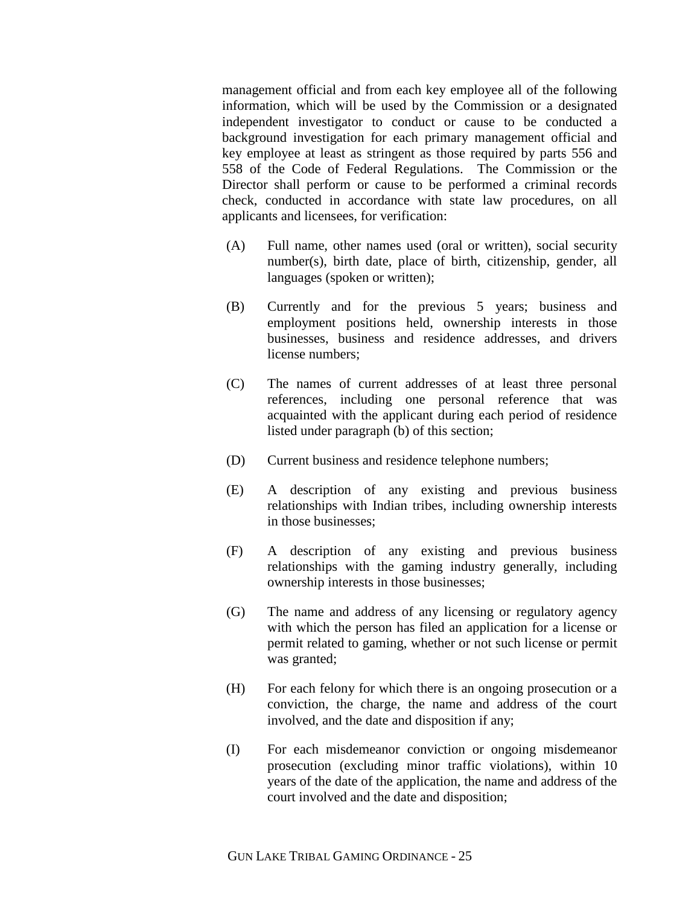management official and from each key employee all of the following information, which will be used by the Commission or a designated independent investigator to conduct or cause to be conducted a background investigation for each primary management official and key employee at least as stringent as those required by parts 556 and 558 of the Code of Federal Regulations. The Commission or the Director shall perform or cause to be performed a criminal records check, conducted in accordance with state law procedures, on all applicants and licensees, for verification:

- (A) Full name, other names used (oral or written), social security number(s), birth date, place of birth, citizenship, gender, all languages (spoken or written);
- (B) Currently and for the previous 5 years; business and employment positions held, ownership interests in those businesses, business and residence addresses, and drivers license numbers;
- (C) The names of current addresses of at least three personal references, including one personal reference that was acquainted with the applicant during each period of residence listed under paragraph (b) of this section;
- (D) Current business and residence telephone numbers;
- (E) A description of any existing and previous business relationships with Indian tribes, including ownership interests in those businesses;
- (F) A description of any existing and previous business relationships with the gaming industry generally, including ownership interests in those businesses;
- (G) The name and address of any licensing or regulatory agency with which the person has filed an application for a license or permit related to gaming, whether or not such license or permit was granted;
- (H) For each felony for which there is an ongoing prosecution or a conviction, the charge, the name and address of the court involved, and the date and disposition if any;
- (I) For each misdemeanor conviction or ongoing misdemeanor prosecution (excluding minor traffic violations), within 10 years of the date of the application, the name and address of the court involved and the date and disposition;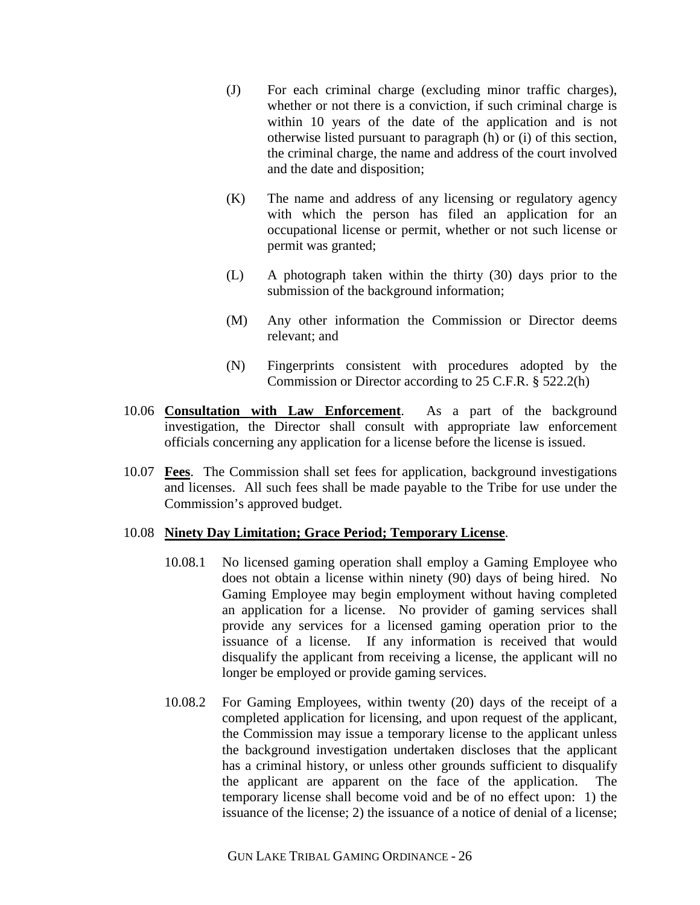- (J) For each criminal charge (excluding minor traffic charges), whether or not there is a conviction, if such criminal charge is within 10 years of the date of the application and is not otherwise listed pursuant to paragraph (h) or (i) of this section, the criminal charge, the name and address of the court involved and the date and disposition;
- (K) The name and address of any licensing or regulatory agency with which the person has filed an application for an occupational license or permit, whether or not such license or permit was granted;
- (L) A photograph taken within the thirty (30) days prior to the submission of the background information;
- (M) Any other information the Commission or Director deems relevant; and
- (N) Fingerprints consistent with procedures adopted by the Commission or Director according to 25 C.F.R. § 522.2(h)
- 10.06 **Consultation with Law Enforcement**. As a part of the background investigation, the Director shall consult with appropriate law enforcement officials concerning any application for a license before the license is issued.
- 10.07 **Fees**. The Commission shall set fees for application, background investigations and licenses. All such fees shall be made payable to the Tribe for use under the Commission's approved budget.

### 10.08 **Ninety Day Limitation; Grace Period; Temporary License**.

- 10.08.1 No licensed gaming operation shall employ a Gaming Employee who does not obtain a license within ninety (90) days of being hired. No Gaming Employee may begin employment without having completed an application for a license. No provider of gaming services shall provide any services for a licensed gaming operation prior to the issuance of a license. If any information is received that would disqualify the applicant from receiving a license, the applicant will no longer be employed or provide gaming services.
- 10.08.2 For Gaming Employees, within twenty (20) days of the receipt of a completed application for licensing, and upon request of the applicant, the Commission may issue a temporary license to the applicant unless the background investigation undertaken discloses that the applicant has a criminal history, or unless other grounds sufficient to disqualify the applicant are apparent on the face of the application. The temporary license shall become void and be of no effect upon: 1) the issuance of the license; 2) the issuance of a notice of denial of a license;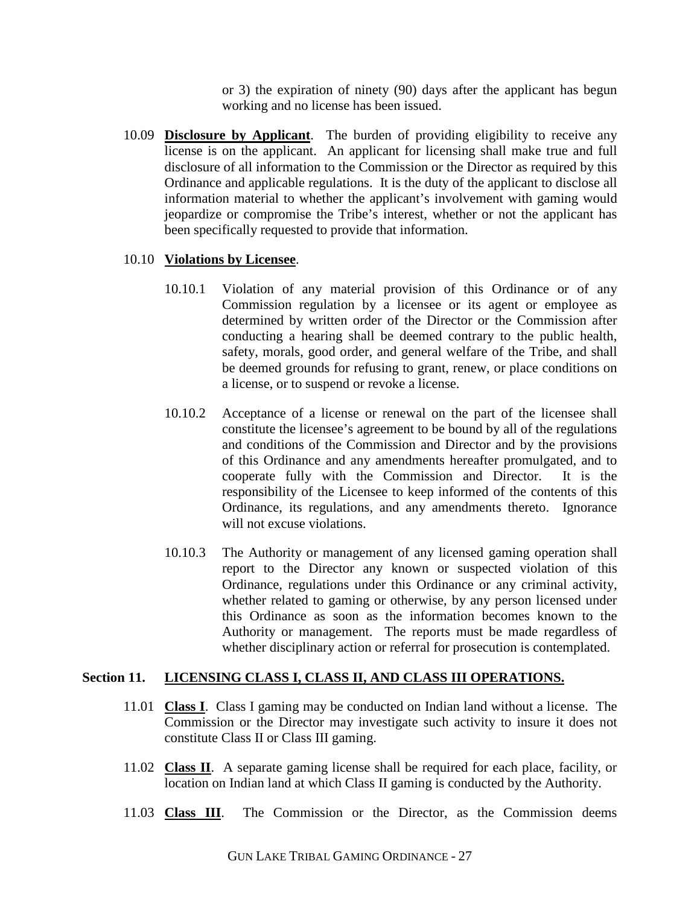or 3) the expiration of ninety (90) days after the applicant has begun working and no license has been issued.

10.09 **Disclosure by Applicant**. The burden of providing eligibility to receive any license is on the applicant. An applicant for licensing shall make true and full disclosure of all information to the Commission or the Director as required by this Ordinance and applicable regulations. It is the duty of the applicant to disclose all information material to whether the applicant's involvement with gaming would jeopardize or compromise the Tribe's interest, whether or not the applicant has been specifically requested to provide that information.

# 10.10 **Violations by Licensee**.

- 10.10.1 Violation of any material provision of this Ordinance or of any Commission regulation by a licensee or its agent or employee as determined by written order of the Director or the Commission after conducting a hearing shall be deemed contrary to the public health, safety, morals, good order, and general welfare of the Tribe, and shall be deemed grounds for refusing to grant, renew, or place conditions on a license, or to suspend or revoke a license.
- 10.10.2 Acceptance of a license or renewal on the part of the licensee shall constitute the licensee's agreement to be bound by all of the regulations and conditions of the Commission and Director and by the provisions of this Ordinance and any amendments hereafter promulgated, and to cooperate fully with the Commission and Director. It is the responsibility of the Licensee to keep informed of the contents of this Ordinance, its regulations, and any amendments thereto. Ignorance will not excuse violations.
- 10.10.3 The Authority or management of any licensed gaming operation shall report to the Director any known or suspected violation of this Ordinance, regulations under this Ordinance or any criminal activity, whether related to gaming or otherwise, by any person licensed under this Ordinance as soon as the information becomes known to the Authority or management. The reports must be made regardless of whether disciplinary action or referral for prosecution is contemplated.

# **Section 11. LICENSING CLASS I, CLASS II, AND CLASS III OPERATIONS.**

- 11.01 **Class I**. Class I gaming may be conducted on Indian land without a license. The Commission or the Director may investigate such activity to insure it does not constitute Class II or Class III gaming.
- 11.02 **Class II**. A separate gaming license shall be required for each place, facility, or location on Indian land at which Class II gaming is conducted by the Authority.
- 11.03 **Class III**. The Commission or the Director, as the Commission deems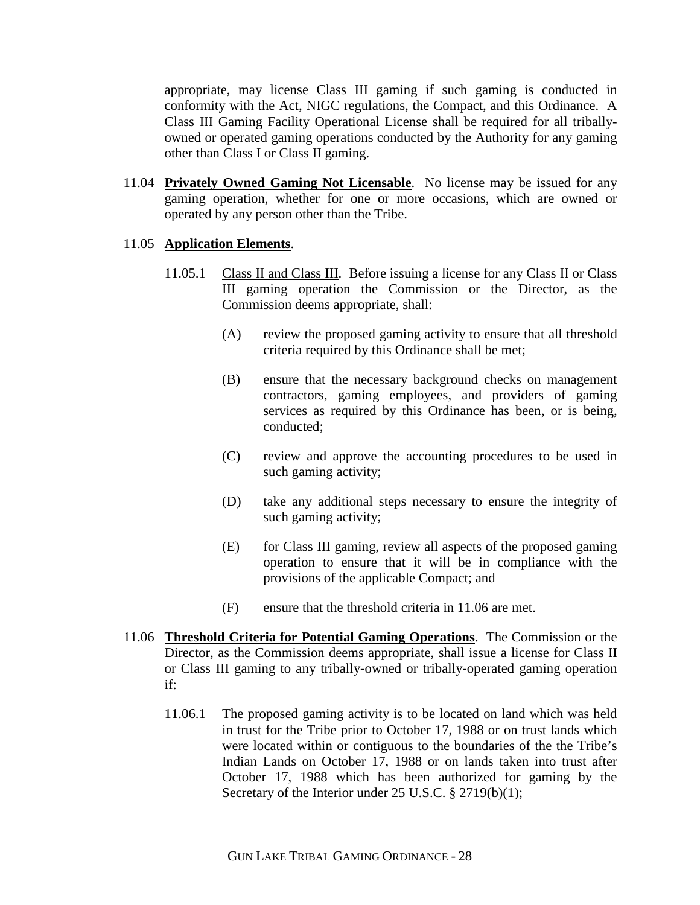appropriate, may license Class III gaming if such gaming is conducted in conformity with the Act, NIGC regulations, the Compact, and this Ordinance. A Class III Gaming Facility Operational License shall be required for all triballyowned or operated gaming operations conducted by the Authority for any gaming other than Class I or Class II gaming.

11.04 **Privately Owned Gaming Not Licensable**. No license may be issued for any gaming operation, whether for one or more occasions, which are owned or operated by any person other than the Tribe.

### 11.05 **Application Elements**.

- 11.05.1 Class II and Class III. Before issuing a license for any Class II or Class III gaming operation the Commission or the Director, as the Commission deems appropriate, shall:
	- (A) review the proposed gaming activity to ensure that all threshold criteria required by this Ordinance shall be met;
	- (B) ensure that the necessary background checks on management contractors, gaming employees, and providers of gaming services as required by this Ordinance has been, or is being, conducted;
	- (C) review and approve the accounting procedures to be used in such gaming activity;
	- (D) take any additional steps necessary to ensure the integrity of such gaming activity;
	- (E) for Class III gaming, review all aspects of the proposed gaming operation to ensure that it will be in compliance with the provisions of the applicable Compact; and
	- (F) ensure that the threshold criteria in 11.06 are met.
- 11.06 **Threshold Criteria for Potential Gaming Operations**. The Commission or the Director, as the Commission deems appropriate, shall issue a license for Class II or Class III gaming to any tribally-owned or tribally-operated gaming operation if:
	- 11.06.1 The proposed gaming activity is to be located on land which was held in trust for the Tribe prior to October 17, 1988 or on trust lands which were located within or contiguous to the boundaries of the the Tribe's Indian Lands on October 17, 1988 or on lands taken into trust after October 17, 1988 which has been authorized for gaming by the Secretary of the Interior under 25 U.S.C. § 2719(b)(1);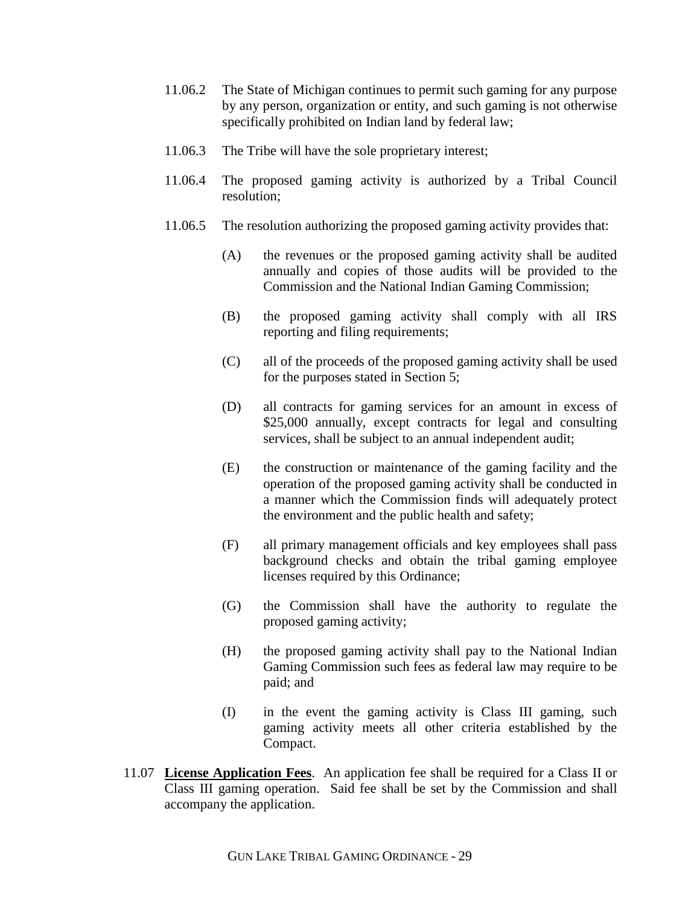- 11.06.2 The State of Michigan continues to permit such gaming for any purpose by any person, organization or entity, and such gaming is not otherwise specifically prohibited on Indian land by federal law;
- 11.06.3 The Tribe will have the sole proprietary interest;
- 11.06.4 The proposed gaming activity is authorized by a Tribal Council resolution;
- 11.06.5 The resolution authorizing the proposed gaming activity provides that:
	- (A) the revenues or the proposed gaming activity shall be audited annually and copies of those audits will be provided to the Commission and the National Indian Gaming Commission;
	- (B) the proposed gaming activity shall comply with all IRS reporting and filing requirements;
	- (C) all of the proceeds of the proposed gaming activity shall be used for the purposes stated in Section 5;
	- (D) all contracts for gaming services for an amount in excess of \$25,000 annually, except contracts for legal and consulting services, shall be subject to an annual independent audit;
	- (E) the construction or maintenance of the gaming facility and the operation of the proposed gaming activity shall be conducted in a manner which the Commission finds will adequately protect the environment and the public health and safety;
	- (F) all primary management officials and key employees shall pass background checks and obtain the tribal gaming employee licenses required by this Ordinance;
	- (G) the Commission shall have the authority to regulate the proposed gaming activity;
	- (H) the proposed gaming activity shall pay to the National Indian Gaming Commission such fees as federal law may require to be paid; and
	- (I) in the event the gaming activity is Class III gaming, such gaming activity meets all other criteria established by the Compact.
- 11.07 **License Application Fees**. An application fee shall be required for a Class II or Class III gaming operation. Said fee shall be set by the Commission and shall accompany the application.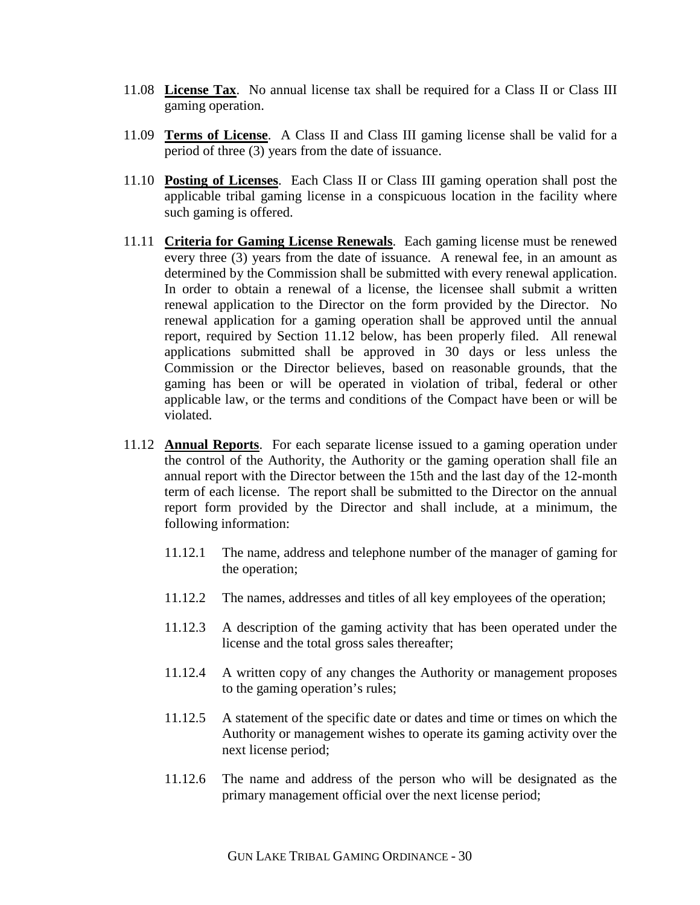- 11.08 **License Tax**. No annual license tax shall be required for a Class II or Class III gaming operation.
- 11.09 **Terms of License**. A Class II and Class III gaming license shall be valid for a period of three (3) years from the date of issuance.
- 11.10 **Posting of Licenses**. Each Class II or Class III gaming operation shall post the applicable tribal gaming license in a conspicuous location in the facility where such gaming is offered.
- 11.11 **Criteria for Gaming License Renewals**. Each gaming license must be renewed every three (3) years from the date of issuance. A renewal fee, in an amount as determined by the Commission shall be submitted with every renewal application. In order to obtain a renewal of a license, the licensee shall submit a written renewal application to the Director on the form provided by the Director. No renewal application for a gaming operation shall be approved until the annual report, required by Section 11.12 below, has been properly filed. All renewal applications submitted shall be approved in 30 days or less unless the Commission or the Director believes, based on reasonable grounds, that the gaming has been or will be operated in violation of tribal, federal or other applicable law, or the terms and conditions of the Compact have been or will be violated.
- 11.12 **Annual Reports**. For each separate license issued to a gaming operation under the control of the Authority, the Authority or the gaming operation shall file an annual report with the Director between the 15th and the last day of the 12-month term of each license. The report shall be submitted to the Director on the annual report form provided by the Director and shall include, at a minimum, the following information:
	- 11.12.1 The name, address and telephone number of the manager of gaming for the operation;
	- 11.12.2 The names, addresses and titles of all key employees of the operation;
	- 11.12.3 A description of the gaming activity that has been operated under the license and the total gross sales thereafter;
	- 11.12.4 A written copy of any changes the Authority or management proposes to the gaming operation's rules;
	- 11.12.5 A statement of the specific date or dates and time or times on which the Authority or management wishes to operate its gaming activity over the next license period;
	- 11.12.6 The name and address of the person who will be designated as the primary management official over the next license period;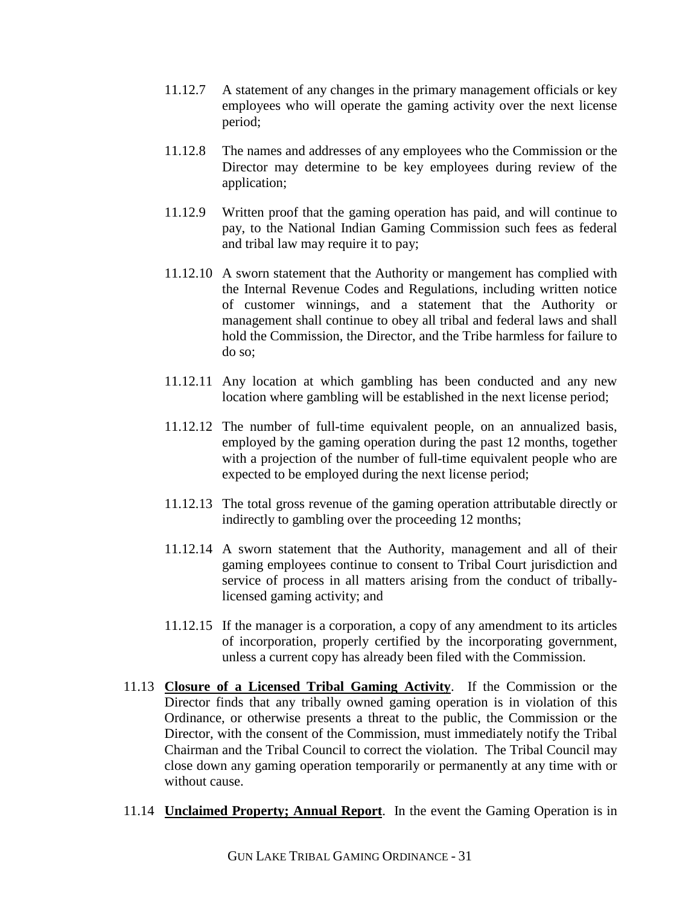- 11.12.7 A statement of any changes in the primary management officials or key employees who will operate the gaming activity over the next license period;
- 11.12.8 The names and addresses of any employees who the Commission or the Director may determine to be key employees during review of the application;
- 11.12.9 Written proof that the gaming operation has paid, and will continue to pay, to the National Indian Gaming Commission such fees as federal and tribal law may require it to pay;
- 11.12.10 A sworn statement that the Authority or mangement has complied with the Internal Revenue Codes and Regulations, including written notice of customer winnings, and a statement that the Authority or management shall continue to obey all tribal and federal laws and shall hold the Commission, the Director, and the Tribe harmless for failure to do so;
- 11.12.11 Any location at which gambling has been conducted and any new location where gambling will be established in the next license period;
- 11.12.12 The number of full-time equivalent people, on an annualized basis, employed by the gaming operation during the past 12 months, together with a projection of the number of full-time equivalent people who are expected to be employed during the next license period;
- 11.12.13 The total gross revenue of the gaming operation attributable directly or indirectly to gambling over the proceeding 12 months;
- 11.12.14 A sworn statement that the Authority, management and all of their gaming employees continue to consent to Tribal Court jurisdiction and service of process in all matters arising from the conduct of triballylicensed gaming activity; and
- 11.12.15 If the manager is a corporation, a copy of any amendment to its articles of incorporation, properly certified by the incorporating government, unless a current copy has already been filed with the Commission.
- 11.13 **Closure of a Licensed Tribal Gaming Activity**. If the Commission or the Director finds that any tribally owned gaming operation is in violation of this Ordinance, or otherwise presents a threat to the public, the Commission or the Director, with the consent of the Commission, must immediately notify the Tribal Chairman and the Tribal Council to correct the violation. The Tribal Council may close down any gaming operation temporarily or permanently at any time with or without cause.
- 11.14 **Unclaimed Property; Annual Report**. In the event the Gaming Operation is in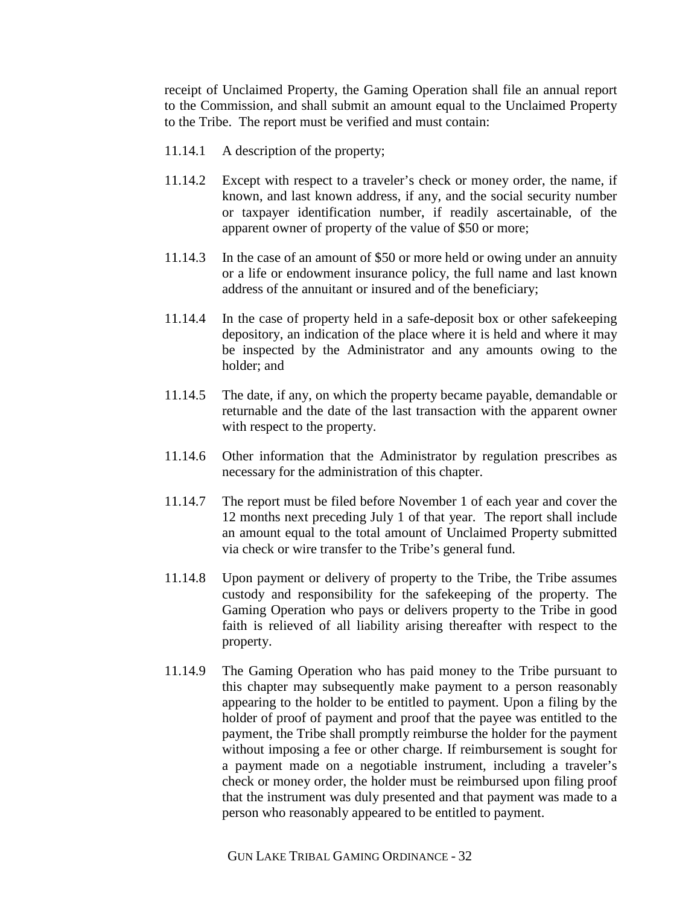receipt of Unclaimed Property, the Gaming Operation shall file an annual report to the Commission, and shall submit an amount equal to the Unclaimed Property to the Tribe. The report must be verified and must contain:

- 11.14.1 A description of the property;
- 11.14.2 Except with respect to a traveler's check or money order, the name, if known, and last known address, if any, and the social security number or taxpayer identification number, if readily ascertainable, of the apparent owner of property of the value of \$50 or more;
- 11.14.3 In the case of an amount of \$50 or more held or owing under an annuity or a life or endowment insurance policy, the full name and last known address of the annuitant or insured and of the beneficiary;
- 11.14.4 In the case of property held in a safe-deposit box or other safekeeping depository, an indication of the place where it is held and where it may be inspected by the Administrator and any amounts owing to the holder; and
- 11.14.5 The date, if any, on which the property became payable, demandable or returnable and the date of the last transaction with the apparent owner with respect to the property.
- 11.14.6 Other information that the Administrator by regulation prescribes as necessary for the administration of this chapter.
- 11.14.7 The report must be filed before November 1 of each year and cover the 12 months next preceding July 1 of that year. The report shall include an amount equal to the total amount of Unclaimed Property submitted via check or wire transfer to the Tribe's general fund.
- 11.14.8 Upon payment or delivery of property to the Tribe, the Tribe assumes custody and responsibility for the safekeeping of the property. The Gaming Operation who pays or delivers property to the Tribe in good faith is relieved of all liability arising thereafter with respect to the property.
- 11.14.9 The Gaming Operation who has paid money to the Tribe pursuant to this chapter may subsequently make payment to a person reasonably appearing to the holder to be entitled to payment. Upon a filing by the holder of proof of payment and proof that the payee was entitled to the payment, the Tribe shall promptly reimburse the holder for the payment without imposing a fee or other charge. If reimbursement is sought for a payment made on a negotiable instrument, including a traveler's check or money order, the holder must be reimbursed upon filing proof that the instrument was duly presented and that payment was made to a person who reasonably appeared to be entitled to payment.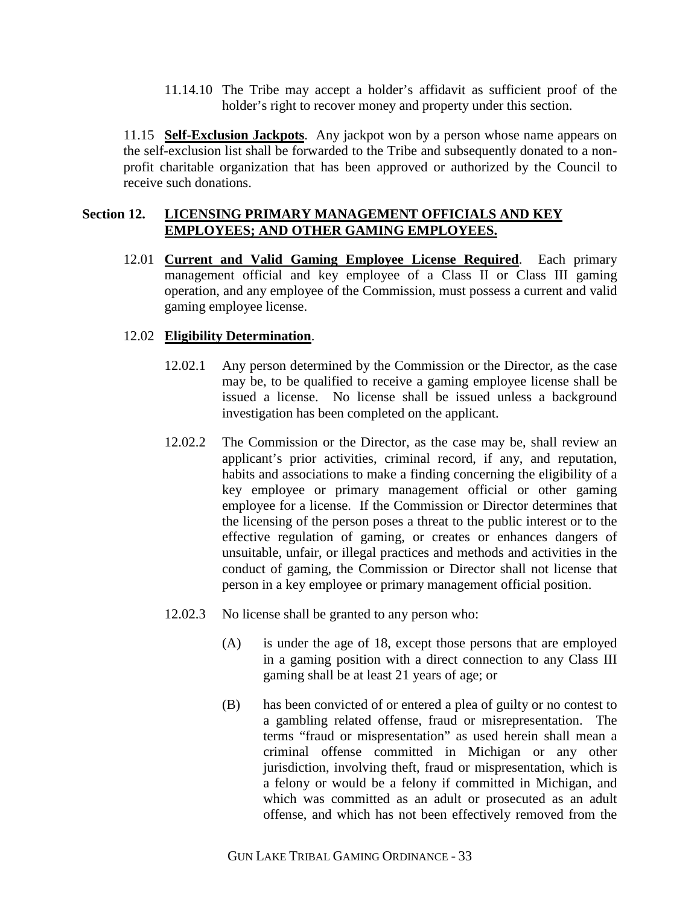11.14.10 The Tribe may accept a holder's affidavit as sufficient proof of the holder's right to recover money and property under this section.

11.15 **Self-Exclusion Jackpots**. Any jackpot won by a person whose name appears on the self-exclusion list shall be forwarded to the Tribe and subsequently donated to a nonprofit charitable organization that has been approved or authorized by the Council to receive such donations.

## **Section 12. LICENSING PRIMARY MANAGEMENT OFFICIALS AND KEY EMPLOYEES; AND OTHER GAMING EMPLOYEES.**

12.01 **Current and Valid Gaming Employee License Required**. Each primary management official and key employee of a Class II or Class III gaming operation, and any employee of the Commission, must possess a current and valid gaming employee license.

# 12.02 **Eligibility Determination**.

- 12.02.1 Any person determined by the Commission or the Director, as the case may be, to be qualified to receive a gaming employee license shall be issued a license. No license shall be issued unless a background investigation has been completed on the applicant.
- 12.02.2 The Commission or the Director, as the case may be, shall review an applicant's prior activities, criminal record, if any, and reputation, habits and associations to make a finding concerning the eligibility of a key employee or primary management official or other gaming employee for a license. If the Commission or Director determines that the licensing of the person poses a threat to the public interest or to the effective regulation of gaming, or creates or enhances dangers of unsuitable, unfair, or illegal practices and methods and activities in the conduct of gaming, the Commission or Director shall not license that person in a key employee or primary management official position.
- 12.02.3 No license shall be granted to any person who:
	- (A) is under the age of 18, except those persons that are employed in a gaming position with a direct connection to any Class III gaming shall be at least 21 years of age; or
	- (B) has been convicted of or entered a plea of guilty or no contest to a gambling related offense, fraud or misrepresentation. The terms "fraud or mispresentation" as used herein shall mean a criminal offense committed in Michigan or any other jurisdiction, involving theft, fraud or mispresentation, which is a felony or would be a felony if committed in Michigan, and which was committed as an adult or prosecuted as an adult offense, and which has not been effectively removed from the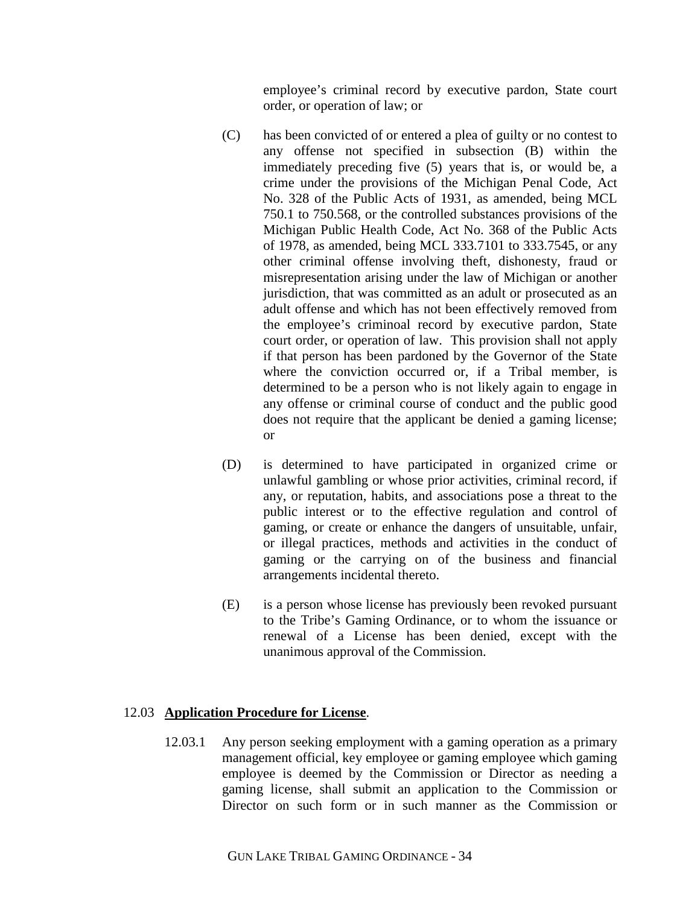employee's criminal record by executive pardon, State court order, or operation of law; or

- (C) has been convicted of or entered a plea of guilty or no contest to any offense not specified in subsection (B) within the immediately preceding five (5) years that is, or would be, a crime under the provisions of the Michigan Penal Code, Act No. 328 of the Public Acts of 1931, as amended, being MCL 750.1 to 750.568, or the controlled substances provisions of the Michigan Public Health Code, Act No. 368 of the Public Acts of 1978, as amended, being MCL 333.7101 to 333.7545, or any other criminal offense involving theft, dishonesty, fraud or misrepresentation arising under the law of Michigan or another jurisdiction, that was committed as an adult or prosecuted as an adult offense and which has not been effectively removed from the employee's criminoal record by executive pardon, State court order, or operation of law. This provision shall not apply if that person has been pardoned by the Governor of the State where the conviction occurred or, if a Tribal member, is determined to be a person who is not likely again to engage in any offense or criminal course of conduct and the public good does not require that the applicant be denied a gaming license; or
- (D) is determined to have participated in organized crime or unlawful gambling or whose prior activities, criminal record, if any, or reputation, habits, and associations pose a threat to the public interest or to the effective regulation and control of gaming, or create or enhance the dangers of unsuitable, unfair, or illegal practices, methods and activities in the conduct of gaming or the carrying on of the business and financial arrangements incidental thereto.
- (E) is a person whose license has previously been revoked pursuant to the Tribe's Gaming Ordinance, or to whom the issuance or renewal of a License has been denied, except with the unanimous approval of the Commission.

### 12.03 **Application Procedure for License**.

12.03.1 Any person seeking employment with a gaming operation as a primary management official, key employee or gaming employee which gaming employee is deemed by the Commission or Director as needing a gaming license, shall submit an application to the Commission or Director on such form or in such manner as the Commission or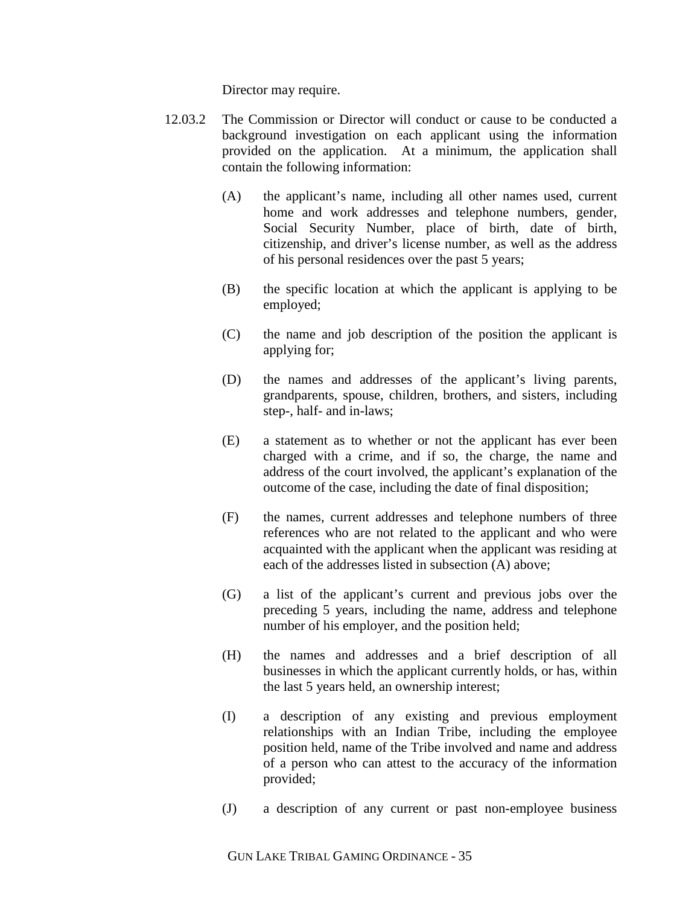Director may require.

- 12.03.2 The Commission or Director will conduct or cause to be conducted a background investigation on each applicant using the information provided on the application. At a minimum, the application shall contain the following information:
	- (A) the applicant's name, including all other names used, current home and work addresses and telephone numbers, gender, Social Security Number, place of birth, date of birth, citizenship, and driver's license number, as well as the address of his personal residences over the past 5 years;
	- (B) the specific location at which the applicant is applying to be employed;
	- (C) the name and job description of the position the applicant is applying for;
	- (D) the names and addresses of the applicant's living parents, grandparents, spouse, children, brothers, and sisters, including step-, half- and in-laws;
	- (E) a statement as to whether or not the applicant has ever been charged with a crime, and if so, the charge, the name and address of the court involved, the applicant's explanation of the outcome of the case, including the date of final disposition;
	- (F) the names, current addresses and telephone numbers of three references who are not related to the applicant and who were acquainted with the applicant when the applicant was residing at each of the addresses listed in subsection (A) above;
	- (G) a list of the applicant's current and previous jobs over the preceding 5 years, including the name, address and telephone number of his employer, and the position held;
	- (H) the names and addresses and a brief description of all businesses in which the applicant currently holds, or has, within the last 5 years held, an ownership interest;
	- (I) a description of any existing and previous employment relationships with an Indian Tribe, including the employee position held, name of the Tribe involved and name and address of a person who can attest to the accuracy of the information provided;
	- (J) a description of any current or past non-employee business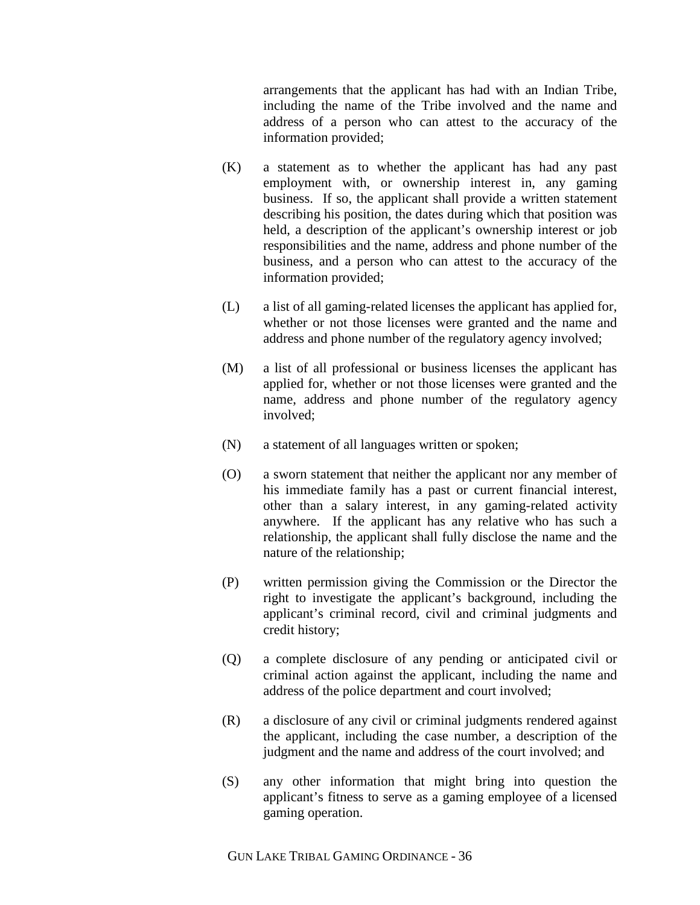arrangements that the applicant has had with an Indian Tribe, including the name of the Tribe involved and the name and address of a person who can attest to the accuracy of the information provided;

- (K) a statement as to whether the applicant has had any past employment with, or ownership interest in, any gaming business. If so, the applicant shall provide a written statement describing his position, the dates during which that position was held, a description of the applicant's ownership interest or job responsibilities and the name, address and phone number of the business, and a person who can attest to the accuracy of the information provided;
- (L) a list of all gaming-related licenses the applicant has applied for, whether or not those licenses were granted and the name and address and phone number of the regulatory agency involved;
- (M) a list of all professional or business licenses the applicant has applied for, whether or not those licenses were granted and the name, address and phone number of the regulatory agency involved;
- (N) a statement of all languages written or spoken;
- (O) a sworn statement that neither the applicant nor any member of his immediate family has a past or current financial interest, other than a salary interest, in any gaming-related activity anywhere. If the applicant has any relative who has such a relationship, the applicant shall fully disclose the name and the nature of the relationship;
- (P) written permission giving the Commission or the Director the right to investigate the applicant's background, including the applicant's criminal record, civil and criminal judgments and credit history;
- (Q) a complete disclosure of any pending or anticipated civil or criminal action against the applicant, including the name and address of the police department and court involved;
- (R) a disclosure of any civil or criminal judgments rendered against the applicant, including the case number, a description of the judgment and the name and address of the court involved; and
- (S) any other information that might bring into question the applicant's fitness to serve as a gaming employee of a licensed gaming operation.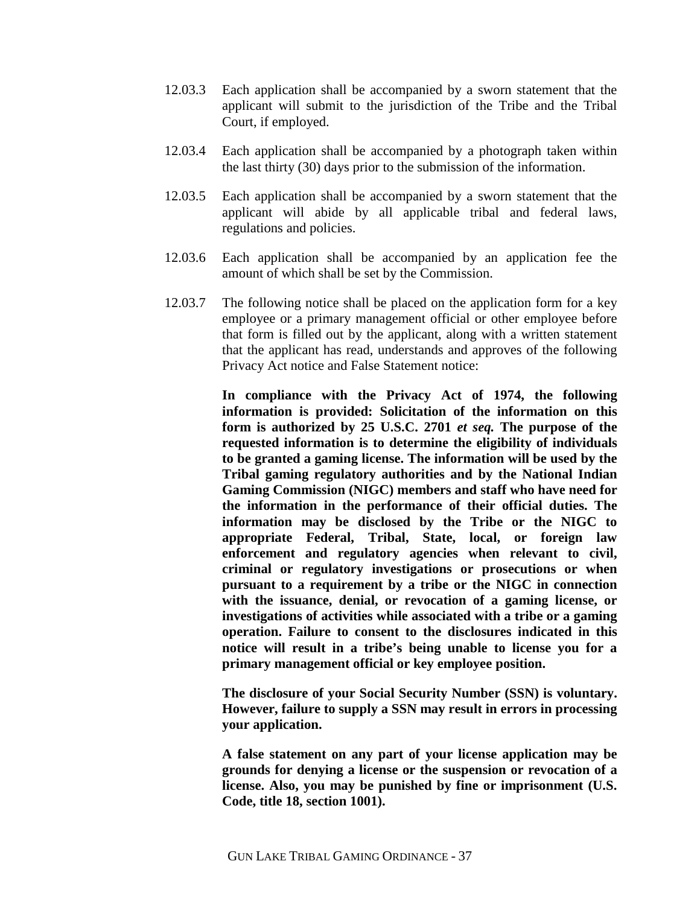- 12.03.3 Each application shall be accompanied by a sworn statement that the applicant will submit to the jurisdiction of the Tribe and the Tribal Court, if employed.
- 12.03.4 Each application shall be accompanied by a photograph taken within the last thirty (30) days prior to the submission of the information.
- 12.03.5 Each application shall be accompanied by a sworn statement that the applicant will abide by all applicable tribal and federal laws, regulations and policies.
- 12.03.6 Each application shall be accompanied by an application fee the amount of which shall be set by the Commission.
- 12.03.7 The following notice shall be placed on the application form for a key employee or a primary management official or other employee before that form is filled out by the applicant, along with a written statement that the applicant has read, understands and approves of the following Privacy Act notice and False Statement notice:

**In compliance with the Privacy Act of 1974, the following information is provided: Solicitation of the information on this form is authorized by 25 U.S.C. 2701** *et seq.* **The purpose of the requested information is to determine the eligibility of individuals to be granted a gaming license. The information will be used by the Tribal gaming regulatory authorities and by the National Indian Gaming Commission (NIGC) members and staff who have need for the information in the performance of their official duties. The information may be disclosed by the Tribe or the NIGC to appropriate Federal, Tribal, State, local, or foreign law enforcement and regulatory agencies when relevant to civil, criminal or regulatory investigations or prosecutions or when pursuant to a requirement by a tribe or the NIGC in connection with the issuance, denial, or revocation of a gaming license, or investigations of activities while associated with a tribe or a gaming operation. Failure to consent to the disclosures indicated in this notice will result in a tribe's being unable to license you for a primary management official or key employee position.**

**The disclosure of your Social Security Number (SSN) is voluntary. However, failure to supply a SSN may result in errors in processing your application.**

**A false statement on any part of your license application may be grounds for denying a license or the suspension or revocation of a license. Also, you may be punished by fine or imprisonment (U.S. Code, title 18, section 1001).**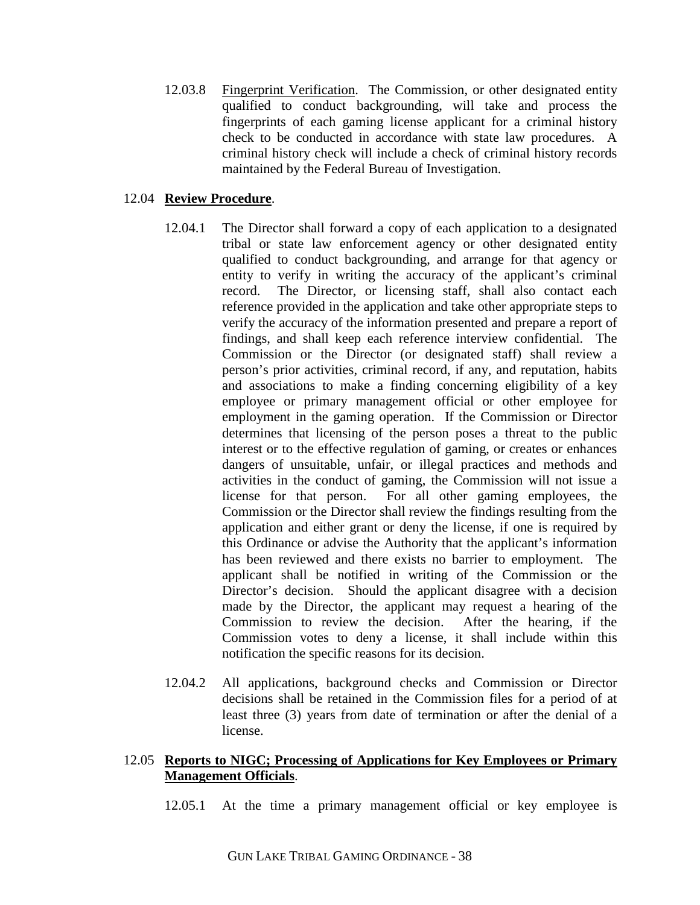12.03.8 Fingerprint Verification. The Commission, or other designated entity qualified to conduct backgrounding, will take and process the fingerprints of each gaming license applicant for a criminal history check to be conducted in accordance with state law procedures. A criminal history check will include a check of criminal history records maintained by the Federal Bureau of Investigation.

# 12.04 **Review Procedure**.

- 12.04.1 The Director shall forward a copy of each application to a designated tribal or state law enforcement agency or other designated entity qualified to conduct backgrounding, and arrange for that agency or entity to verify in writing the accuracy of the applicant's criminal record. The Director, or licensing staff, shall also contact each reference provided in the application and take other appropriate steps to verify the accuracy of the information presented and prepare a report of findings, and shall keep each reference interview confidential. The Commission or the Director (or designated staff) shall review a person's prior activities, criminal record, if any, and reputation, habits and associations to make a finding concerning eligibility of a key employee or primary management official or other employee for employment in the gaming operation. If the Commission or Director determines that licensing of the person poses a threat to the public interest or to the effective regulation of gaming, or creates or enhances dangers of unsuitable, unfair, or illegal practices and methods and activities in the conduct of gaming, the Commission will not issue a license for that person. For all other gaming employees, the Commission or the Director shall review the findings resulting from the application and either grant or deny the license, if one is required by this Ordinance or advise the Authority that the applicant's information has been reviewed and there exists no barrier to employment. The applicant shall be notified in writing of the Commission or the Director's decision. Should the applicant disagree with a decision made by the Director, the applicant may request a hearing of the Commission to review the decision. After the hearing, if the Commission votes to deny a license, it shall include within this notification the specific reasons for its decision.
- 12.04.2 All applications, background checks and Commission or Director decisions shall be retained in the Commission files for a period of at least three (3) years from date of termination or after the denial of a license.

# 12.05 **Reports to NIGC; Processing of Applications for Key Employees or Primary Management Officials**.

12.05.1 At the time a primary management official or key employee is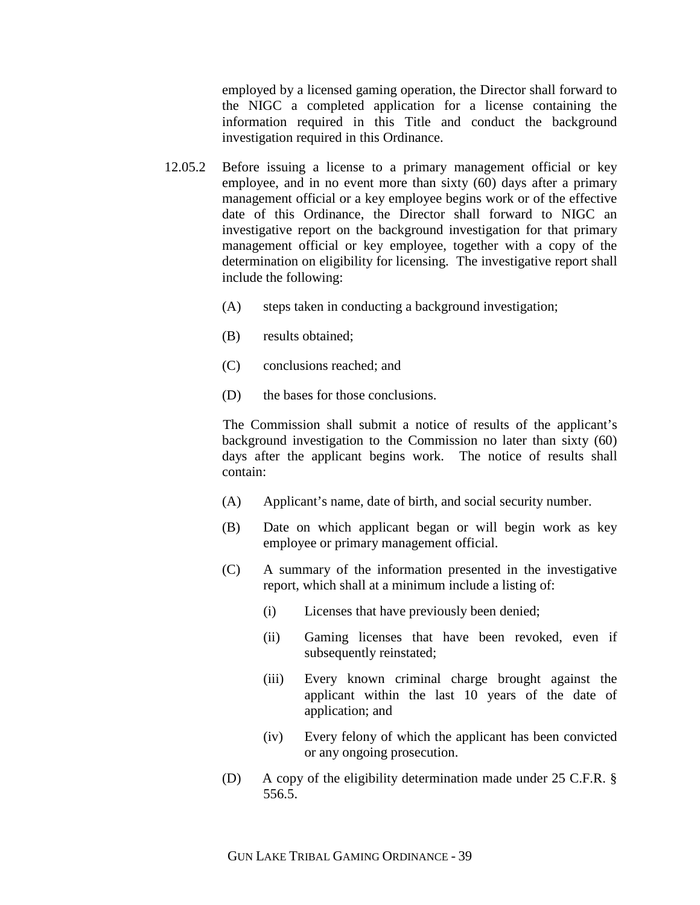employed by a licensed gaming operation, the Director shall forward to the NIGC a completed application for a license containing the information required in this Title and conduct the background investigation required in this Ordinance.

- 12.05.2 Before issuing a license to a primary management official or key employee, and in no event more than sixty (60) days after a primary management official or a key employee begins work or of the effective date of this Ordinance, the Director shall forward to NIGC an investigative report on the background investigation for that primary management official or key employee, together with a copy of the determination on eligibility for licensing. The investigative report shall include the following:
	- (A) steps taken in conducting a background investigation;
	- (B) results obtained;
	- (C) conclusions reached; and
	- (D) the bases for those conclusions.

 The Commission shall submit a notice of results of the applicant's background investigation to the Commission no later than sixty (60) days after the applicant begins work. The notice of results shall contain:

- (A) Applicant's name, date of birth, and social security number.
- (B) Date on which applicant began or will begin work as key employee or primary management official.
- (C) A summary of the information presented in the investigative report, which shall at a minimum include a listing of:
	- (i) Licenses that have previously been denied;
	- (ii) Gaming licenses that have been revoked, even if subsequently reinstated;
	- (iii) Every known criminal charge brought against the applicant within the last 10 years of the date of application; and
	- (iv) Every felony of which the applicant has been convicted or any ongoing prosecution.
- (D) A copy of the eligibility determination made under 25 C.F.R. § 556.5.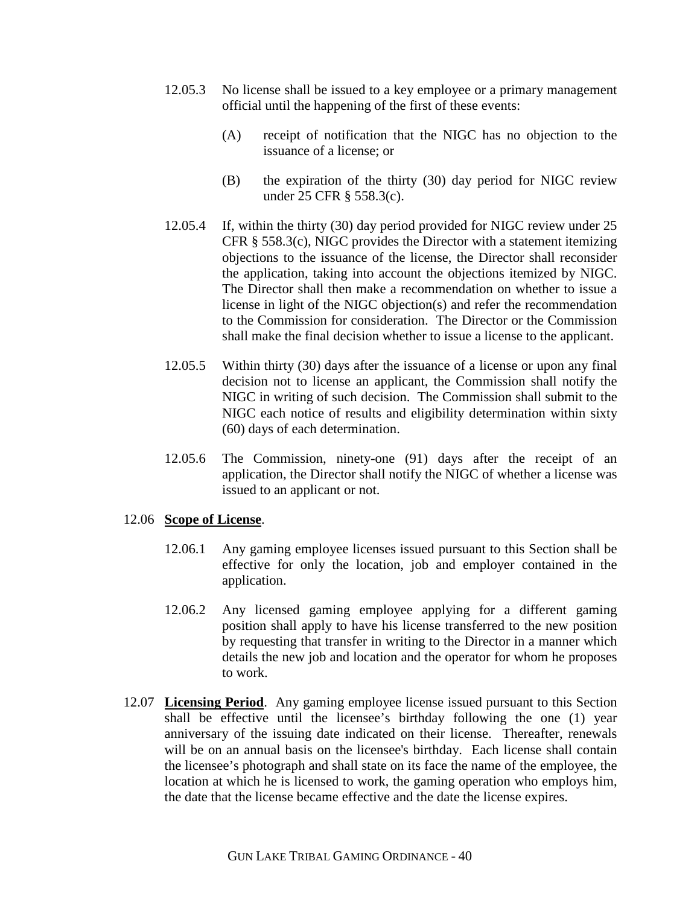- 12.05.3 No license shall be issued to a key employee or a primary management official until the happening of the first of these events:
	- (A) receipt of notification that the NIGC has no objection to the issuance of a license; or
	- (B) the expiration of the thirty (30) day period for NIGC review under 25 CFR § 558.3(c).
- 12.05.4 If, within the thirty (30) day period provided for NIGC review under 25 CFR § 558.3(c), NIGC provides the Director with a statement itemizing objections to the issuance of the license, the Director shall reconsider the application, taking into account the objections itemized by NIGC. The Director shall then make a recommendation on whether to issue a license in light of the NIGC objection(s) and refer the recommendation to the Commission for consideration. The Director or the Commission shall make the final decision whether to issue a license to the applicant.
- 12.05.5 Within thirty (30) days after the issuance of a license or upon any final decision not to license an applicant, the Commission shall notify the NIGC in writing of such decision. The Commission shall submit to the NIGC each notice of results and eligibility determination within sixty (60) days of each determination.
- 12.05.6 The Commission, ninety-one (91) days after the receipt of an application, the Director shall notify the NIGC of whether a license was issued to an applicant or not.

### 12.06 **Scope of License**.

- 12.06.1 Any gaming employee licenses issued pursuant to this Section shall be effective for only the location, job and employer contained in the application.
- 12.06.2 Any licensed gaming employee applying for a different gaming position shall apply to have his license transferred to the new position by requesting that transfer in writing to the Director in a manner which details the new job and location and the operator for whom he proposes to work.
- 12.07 **Licensing Period**. Any gaming employee license issued pursuant to this Section shall be effective until the licensee's birthday following the one (1) year anniversary of the issuing date indicated on their license. Thereafter, renewals will be on an annual basis on the licensee's birthday. Each license shall contain the licensee's photograph and shall state on its face the name of the employee, the location at which he is licensed to work, the gaming operation who employs him, the date that the license became effective and the date the license expires.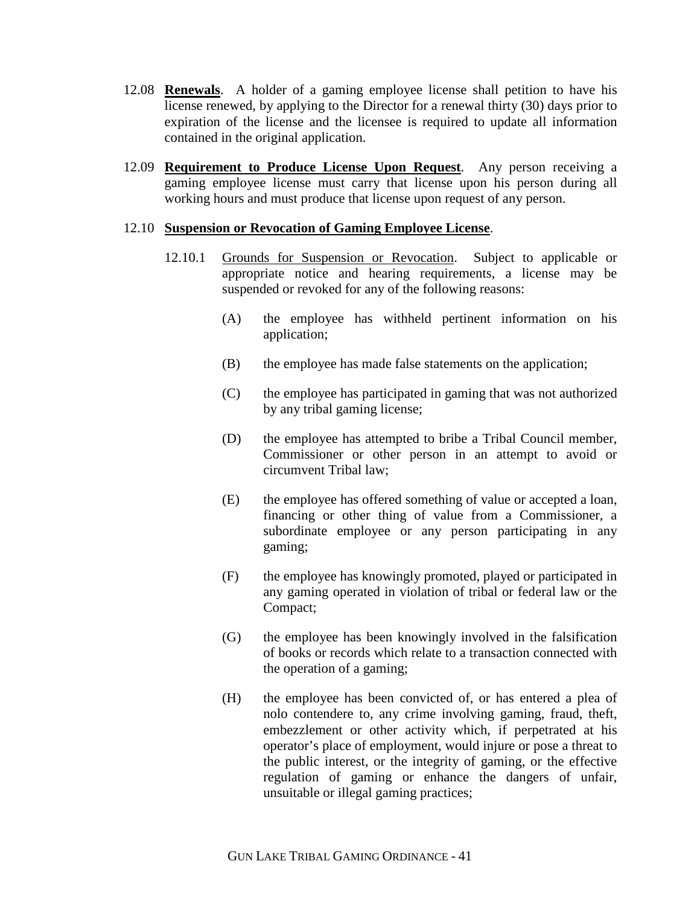- 12.08 **Renewals**. A holder of a gaming employee license shall petition to have his license renewed, by applying to the Director for a renewal thirty (30) days prior to expiration of the license and the licensee is required to update all information contained in the original application.
- 12.09 **Requirement to Produce License Upon Request**. Any person receiving a gaming employee license must carry that license upon his person during all working hours and must produce that license upon request of any person.

#### 12.10 **Suspension or Revocation of Gaming Employee License**.

- 12.10.1 Grounds for Suspension or Revocation. Subject to applicable or appropriate notice and hearing requirements, a license may be suspended or revoked for any of the following reasons:
	- (A) the employee has withheld pertinent information on his application;
	- (B) the employee has made false statements on the application;
	- (C) the employee has participated in gaming that was not authorized by any tribal gaming license;
	- (D) the employee has attempted to bribe a Tribal Council member, Commissioner or other person in an attempt to avoid or circumvent Tribal law;
	- (E) the employee has offered something of value or accepted a loan, financing or other thing of value from a Commissioner, a subordinate employee or any person participating in any gaming;
	- (F) the employee has knowingly promoted, played or participated in any gaming operated in violation of tribal or federal law or the Compact;
	- (G) the employee has been knowingly involved in the falsification of books or records which relate to a transaction connected with the operation of a gaming;
	- (H) the employee has been convicted of, or has entered a plea of nolo contendere to, any crime involving gaming, fraud, theft, embezzlement or other activity which, if perpetrated at his operator's place of employment, would injure or pose a threat to the public interest, or the integrity of gaming, or the effective regulation of gaming or enhance the dangers of unfair, unsuitable or illegal gaming practices;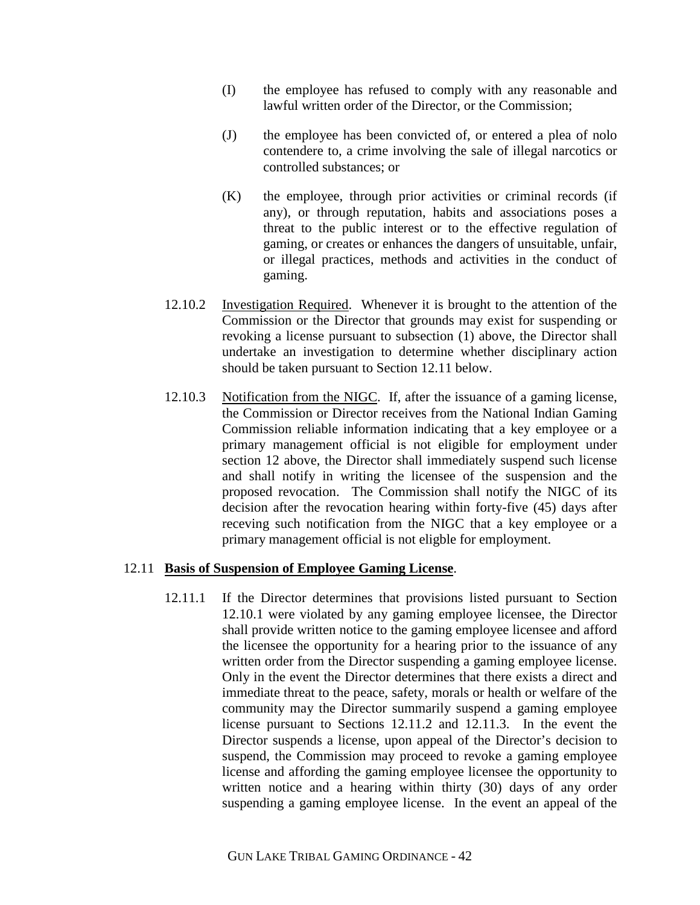- (I) the employee has refused to comply with any reasonable and lawful written order of the Director, or the Commission;
- (J) the employee has been convicted of, or entered a plea of nolo contendere to, a crime involving the sale of illegal narcotics or controlled substances; or
- (K) the employee, through prior activities or criminal records (if any), or through reputation, habits and associations poses a threat to the public interest or to the effective regulation of gaming, or creates or enhances the dangers of unsuitable, unfair, or illegal practices, methods and activities in the conduct of gaming.
- 12.10.2 Investigation Required. Whenever it is brought to the attention of the Commission or the Director that grounds may exist for suspending or revoking a license pursuant to subsection (1) above, the Director shall undertake an investigation to determine whether disciplinary action should be taken pursuant to Section 12.11 below.
- 12.10.3 Notification from the NIGC. If, after the issuance of a gaming license, the Commission or Director receives from the National Indian Gaming Commission reliable information indicating that a key employee or a primary management official is not eligible for employment under section 12 above, the Director shall immediately suspend such license and shall notify in writing the licensee of the suspension and the proposed revocation. The Commission shall notify the NIGC of its decision after the revocation hearing within forty-five (45) days after receving such notification from the NIGC that a key employee or a primary management official is not eligble for employment.

### 12.11 **Basis of Suspension of Employee Gaming License**.

12.11.1 If the Director determines that provisions listed pursuant to Section 12.10.1 were violated by any gaming employee licensee, the Director shall provide written notice to the gaming employee licensee and afford the licensee the opportunity for a hearing prior to the issuance of any written order from the Director suspending a gaming employee license. Only in the event the Director determines that there exists a direct and immediate threat to the peace, safety, morals or health or welfare of the community may the Director summarily suspend a gaming employee license pursuant to Sections 12.11.2 and 12.11.3. In the event the Director suspends a license, upon appeal of the Director's decision to suspend, the Commission may proceed to revoke a gaming employee license and affording the gaming employee licensee the opportunity to written notice and a hearing within thirty (30) days of any order suspending a gaming employee license. In the event an appeal of the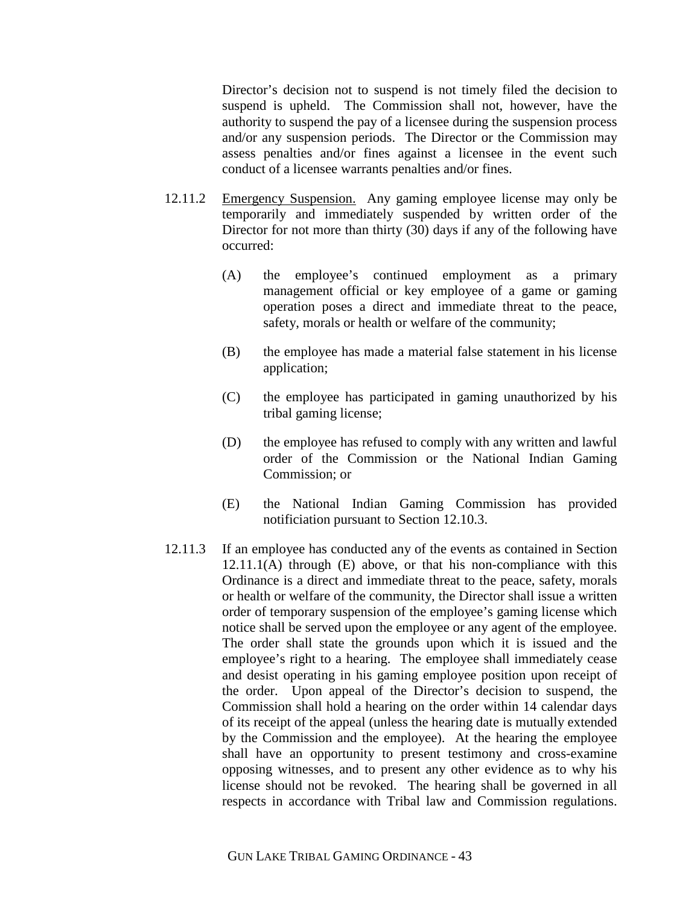Director's decision not to suspend is not timely filed the decision to suspend is upheld. The Commission shall not, however, have the authority to suspend the pay of a licensee during the suspension process and/or any suspension periods. The Director or the Commission may assess penalties and/or fines against a licensee in the event such conduct of a licensee warrants penalties and/or fines.

- 12.11.2 Emergency Suspension. Any gaming employee license may only be temporarily and immediately suspended by written order of the Director for not more than thirty (30) days if any of the following have occurred:
	- (A) the employee's continued employment as a primary management official or key employee of a game or gaming operation poses a direct and immediate threat to the peace, safety, morals or health or welfare of the community;
	- (B) the employee has made a material false statement in his license application;
	- (C) the employee has participated in gaming unauthorized by his tribal gaming license;
	- (D) the employee has refused to comply with any written and lawful order of the Commission or the National Indian Gaming Commission; or
	- (E) the National Indian Gaming Commission has provided notificiation pursuant to Section 12.10.3.
- 12.11.3 If an employee has conducted any of the events as contained in Section 12.11.1(A) through (E) above, or that his non-compliance with this Ordinance is a direct and immediate threat to the peace, safety, morals or health or welfare of the community, the Director shall issue a written order of temporary suspension of the employee's gaming license which notice shall be served upon the employee or any agent of the employee. The order shall state the grounds upon which it is issued and the employee's right to a hearing. The employee shall immediately cease and desist operating in his gaming employee position upon receipt of the order. Upon appeal of the Director's decision to suspend, the Commission shall hold a hearing on the order within 14 calendar days of its receipt of the appeal (unless the hearing date is mutually extended by the Commission and the employee). At the hearing the employee shall have an opportunity to present testimony and cross-examine opposing witnesses, and to present any other evidence as to why his license should not be revoked. The hearing shall be governed in all respects in accordance with Tribal law and Commission regulations.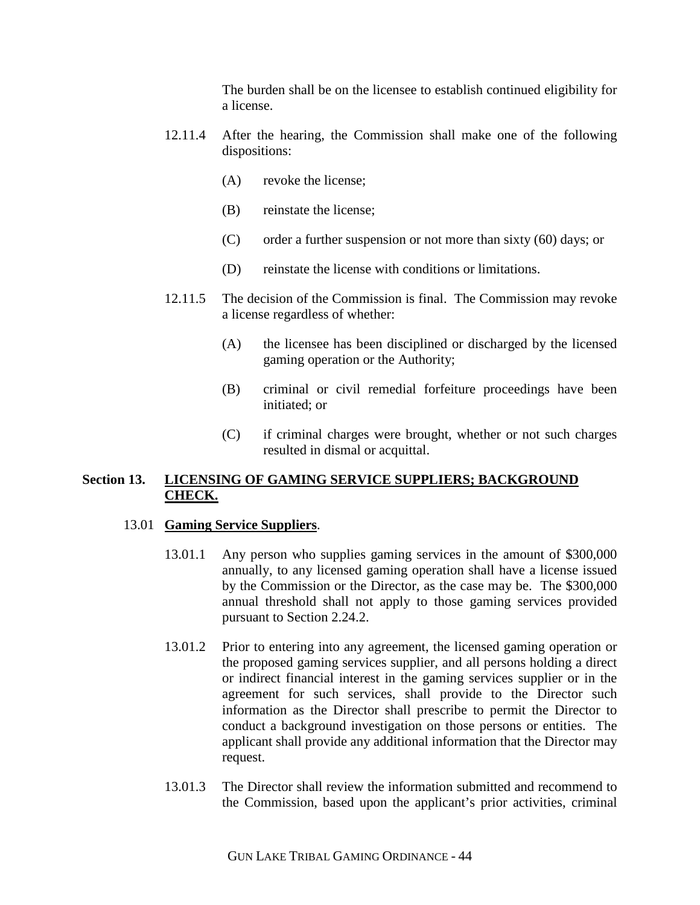The burden shall be on the licensee to establish continued eligibility for a license.

- 12.11.4 After the hearing, the Commission shall make one of the following dispositions:
	- (A) revoke the license;
	- (B) reinstate the license;
	- (C) order a further suspension or not more than sixty (60) days; or
	- (D) reinstate the license with conditions or limitations.
- 12.11.5 The decision of the Commission is final. The Commission may revoke a license regardless of whether:
	- (A) the licensee has been disciplined or discharged by the licensed gaming operation or the Authority;
	- (B) criminal or civil remedial forfeiture proceedings have been initiated; or
	- (C) if criminal charges were brought, whether or not such charges resulted in dismal or acquittal.

# **Section 13. LICENSING OF GAMING SERVICE SUPPLIERS; BACKGROUND CHECK.**

### 13.01 **Gaming Service Suppliers**.

- 13.01.1 Any person who supplies gaming services in the amount of \$300,000 annually, to any licensed gaming operation shall have a license issued by the Commission or the Director, as the case may be. The \$300,000 annual threshold shall not apply to those gaming services provided pursuant to Section 2.24.2.
- 13.01.2 Prior to entering into any agreement, the licensed gaming operation or the proposed gaming services supplier, and all persons holding a direct or indirect financial interest in the gaming services supplier or in the agreement for such services, shall provide to the Director such information as the Director shall prescribe to permit the Director to conduct a background investigation on those persons or entities. The applicant shall provide any additional information that the Director may request.
- 13.01.3 The Director shall review the information submitted and recommend to the Commission, based upon the applicant's prior activities, criminal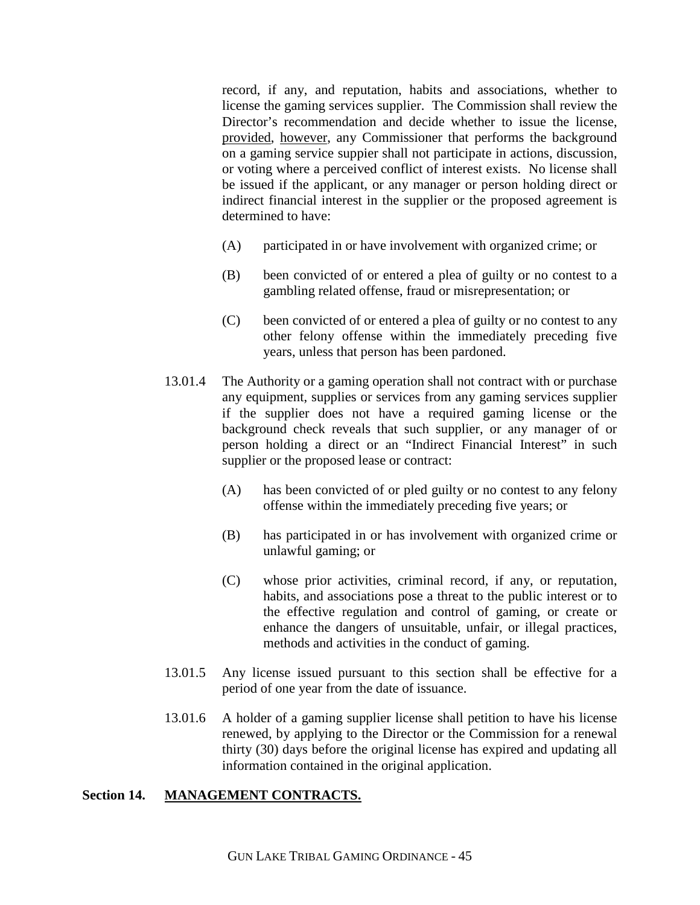record, if any, and reputation, habits and associations, whether to license the gaming services supplier. The Commission shall review the Director's recommendation and decide whether to issue the license, provided, however, any Commissioner that performs the background on a gaming service suppier shall not participate in actions, discussion, or voting where a perceived conflict of interest exists. No license shall be issued if the applicant, or any manager or person holding direct or indirect financial interest in the supplier or the proposed agreement is determined to have:

- (A) participated in or have involvement with organized crime; or
- (B) been convicted of or entered a plea of guilty or no contest to a gambling related offense, fraud or misrepresentation; or
- (C) been convicted of or entered a plea of guilty or no contest to any other felony offense within the immediately preceding five years, unless that person has been pardoned.
- 13.01.4 The Authority or a gaming operation shall not contract with or purchase any equipment, supplies or services from any gaming services supplier if the supplier does not have a required gaming license or the background check reveals that such supplier, or any manager of or person holding a direct or an "Indirect Financial Interest" in such supplier or the proposed lease or contract:
	- (A) has been convicted of or pled guilty or no contest to any felony offense within the immediately preceding five years; or
	- (B) has participated in or has involvement with organized crime or unlawful gaming; or
	- (C) whose prior activities, criminal record, if any, or reputation, habits, and associations pose a threat to the public interest or to the effective regulation and control of gaming, or create or enhance the dangers of unsuitable, unfair, or illegal practices, methods and activities in the conduct of gaming.
- 13.01.5 Any license issued pursuant to this section shall be effective for a period of one year from the date of issuance.
- 13.01.6 A holder of a gaming supplier license shall petition to have his license renewed, by applying to the Director or the Commission for a renewal thirty (30) days before the original license has expired and updating all information contained in the original application.

# **Section 14. MANAGEMENT CONTRACTS.**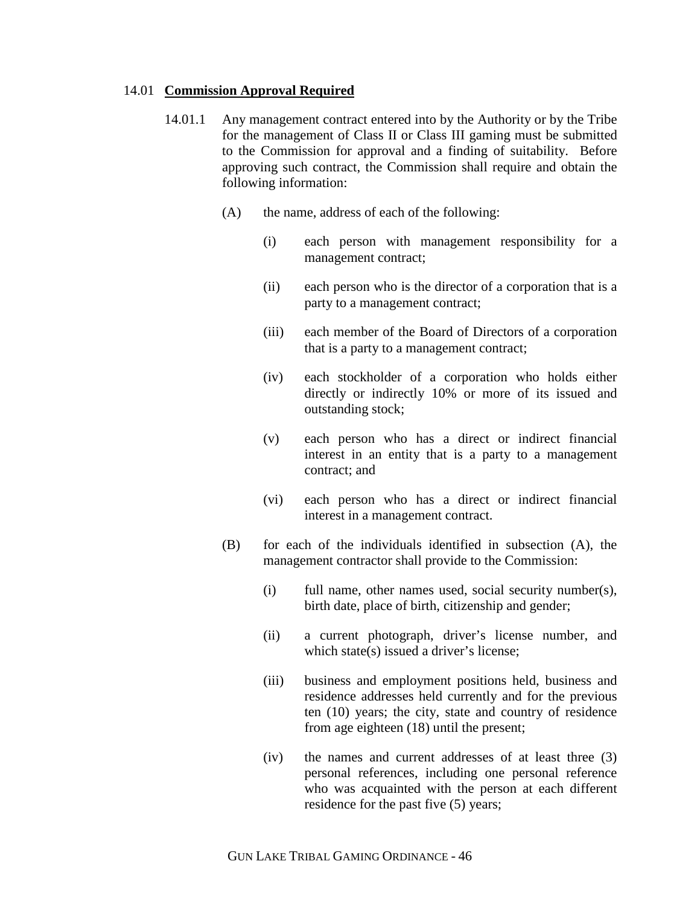#### 14.01 **Commission Approval Required**

- 14.01.1 Any management contract entered into by the Authority or by the Tribe for the management of Class II or Class III gaming must be submitted to the Commission for approval and a finding of suitability. Before approving such contract, the Commission shall require and obtain the following information:
	- (A) the name, address of each of the following:
		- (i) each person with management responsibility for a management contract;
		- (ii) each person who is the director of a corporation that is a party to a management contract;
		- (iii) each member of the Board of Directors of a corporation that is a party to a management contract;
		- (iv) each stockholder of a corporation who holds either directly or indirectly 10% or more of its issued and outstanding stock;
		- (v) each person who has a direct or indirect financial interest in an entity that is a party to a management contract; and
		- (vi) each person who has a direct or indirect financial interest in a management contract.
	- (B) for each of the individuals identified in subsection (A), the management contractor shall provide to the Commission:
		- (i) full name, other names used, social security number(s), birth date, place of birth, citizenship and gender;
		- (ii) a current photograph, driver's license number, and which state(s) issued a driver's license:
		- (iii) business and employment positions held, business and residence addresses held currently and for the previous ten (10) years; the city, state and country of residence from age eighteen (18) until the present;
		- (iv) the names and current addresses of at least three (3) personal references, including one personal reference who was acquainted with the person at each different residence for the past five (5) years;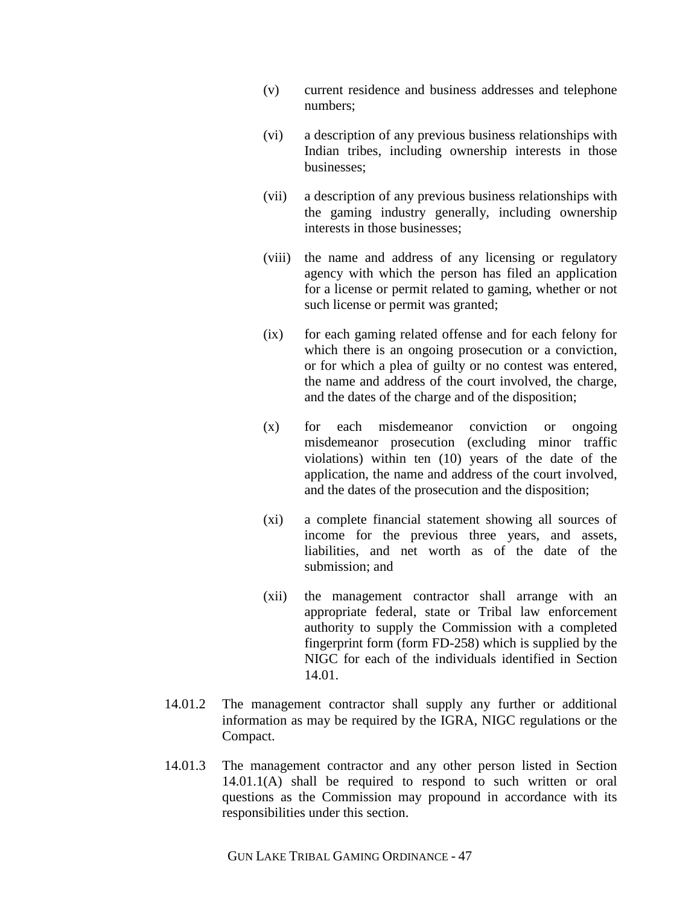- (v) current residence and business addresses and telephone numbers;
- (vi) a description of any previous business relationships with Indian tribes, including ownership interests in those businesses;
- (vii) a description of any previous business relationships with the gaming industry generally, including ownership interests in those businesses;
- (viii) the name and address of any licensing or regulatory agency with which the person has filed an application for a license or permit related to gaming, whether or not such license or permit was granted;
- (ix) for each gaming related offense and for each felony for which there is an ongoing prosecution or a conviction, or for which a plea of guilty or no contest was entered, the name and address of the court involved, the charge, and the dates of the charge and of the disposition;
- (x) for each misdemeanor conviction or ongoing misdemeanor prosecution (excluding minor traffic violations) within ten (10) years of the date of the application, the name and address of the court involved, and the dates of the prosecution and the disposition;
- (xi) a complete financial statement showing all sources of income for the previous three years, and assets, liabilities, and net worth as of the date of the submission; and
- (xii) the management contractor shall arrange with an appropriate federal, state or Tribal law enforcement authority to supply the Commission with a completed fingerprint form (form FD-258) which is supplied by the NIGC for each of the individuals identified in Section 14.01.
- 14.01.2 The management contractor shall supply any further or additional information as may be required by the IGRA, NIGC regulations or the Compact.
- 14.01.3 The management contractor and any other person listed in Section 14.01.1(A) shall be required to respond to such written or oral questions as the Commission may propound in accordance with its responsibilities under this section.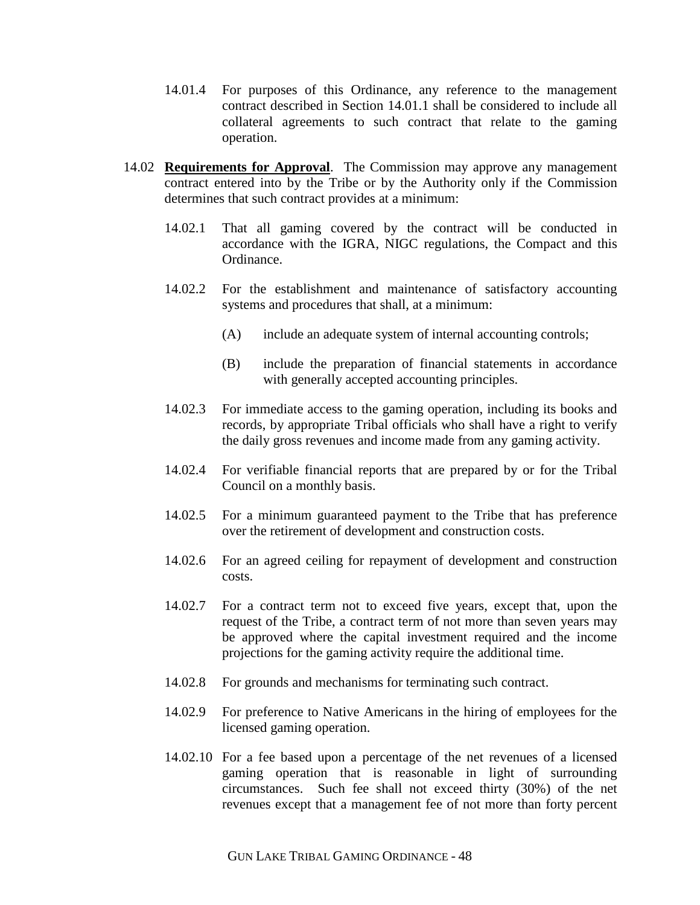- 14.01.4 For purposes of this Ordinance, any reference to the management contract described in Section 14.01.1 shall be considered to include all collateral agreements to such contract that relate to the gaming operation.
- 14.02 **Requirements for Approval**. The Commission may approve any management contract entered into by the Tribe or by the Authority only if the Commission determines that such contract provides at a minimum:
	- 14.02.1 That all gaming covered by the contract will be conducted in accordance with the IGRA, NIGC regulations, the Compact and this Ordinance.
	- 14.02.2 For the establishment and maintenance of satisfactory accounting systems and procedures that shall, at a minimum:
		- (A) include an adequate system of internal accounting controls;
		- (B) include the preparation of financial statements in accordance with generally accepted accounting principles.
	- 14.02.3 For immediate access to the gaming operation, including its books and records, by appropriate Tribal officials who shall have a right to verify the daily gross revenues and income made from any gaming activity.
	- 14.02.4 For verifiable financial reports that are prepared by or for the Tribal Council on a monthly basis.
	- 14.02.5 For a minimum guaranteed payment to the Tribe that has preference over the retirement of development and construction costs.
	- 14.02.6 For an agreed ceiling for repayment of development and construction costs.
	- 14.02.7 For a contract term not to exceed five years, except that, upon the request of the Tribe, a contract term of not more than seven years may be approved where the capital investment required and the income projections for the gaming activity require the additional time.
	- 14.02.8 For grounds and mechanisms for terminating such contract.
	- 14.02.9 For preference to Native Americans in the hiring of employees for the licensed gaming operation.
	- 14.02.10 For a fee based upon a percentage of the net revenues of a licensed gaming operation that is reasonable in light of surrounding circumstances. Such fee shall not exceed thirty (30%) of the net revenues except that a management fee of not more than forty percent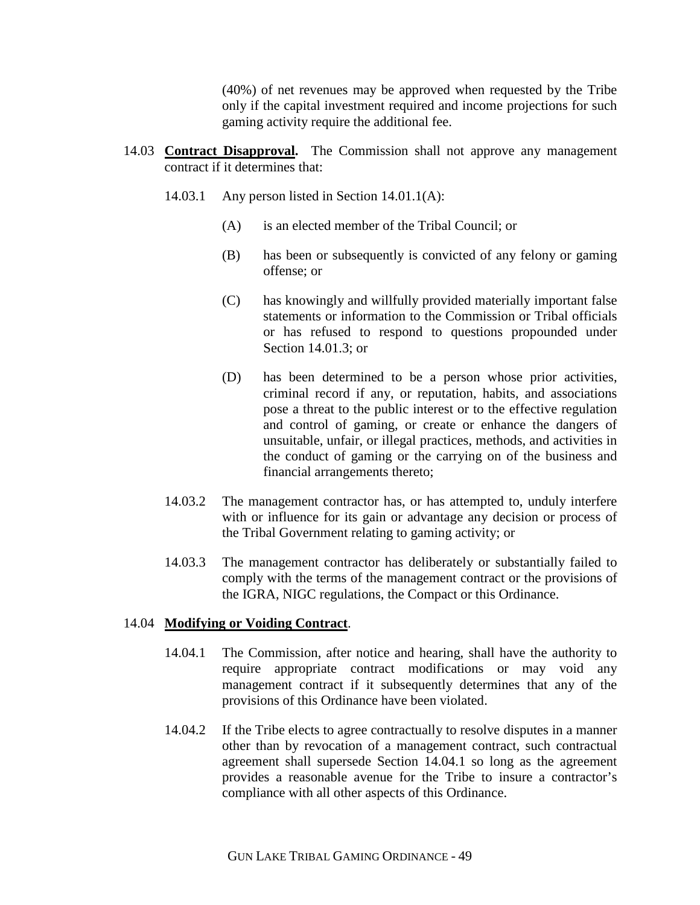(40%) of net revenues may be approved when requested by the Tribe only if the capital investment required and income projections for such gaming activity require the additional fee.

- 14.03 **Contract Disapproval.** The Commission shall not approve any management contract if it determines that:
	- 14.03.1 Any person listed in Section 14.01.1(A):
		- (A) is an elected member of the Tribal Council; or
		- (B) has been or subsequently is convicted of any felony or gaming offense; or
		- (C) has knowingly and willfully provided materially important false statements or information to the Commission or Tribal officials or has refused to respond to questions propounded under Section 14.01.3; or
		- (D) has been determined to be a person whose prior activities, criminal record if any, or reputation, habits, and associations pose a threat to the public interest or to the effective regulation and control of gaming, or create or enhance the dangers of unsuitable, unfair, or illegal practices, methods, and activities in the conduct of gaming or the carrying on of the business and financial arrangements thereto;
	- 14.03.2 The management contractor has, or has attempted to, unduly interfere with or influence for its gain or advantage any decision or process of the Tribal Government relating to gaming activity; or
	- 14.03.3 The management contractor has deliberately or substantially failed to comply with the terms of the management contract or the provisions of the IGRA, NIGC regulations, the Compact or this Ordinance.

#### 14.04 **Modifying or Voiding Contract**.

- 14.04.1 The Commission, after notice and hearing, shall have the authority to require appropriate contract modifications or may void any management contract if it subsequently determines that any of the provisions of this Ordinance have been violated.
- 14.04.2 If the Tribe elects to agree contractually to resolve disputes in a manner other than by revocation of a management contract, such contractual agreement shall supersede Section 14.04.1 so long as the agreement provides a reasonable avenue for the Tribe to insure a contractor's compliance with all other aspects of this Ordinance.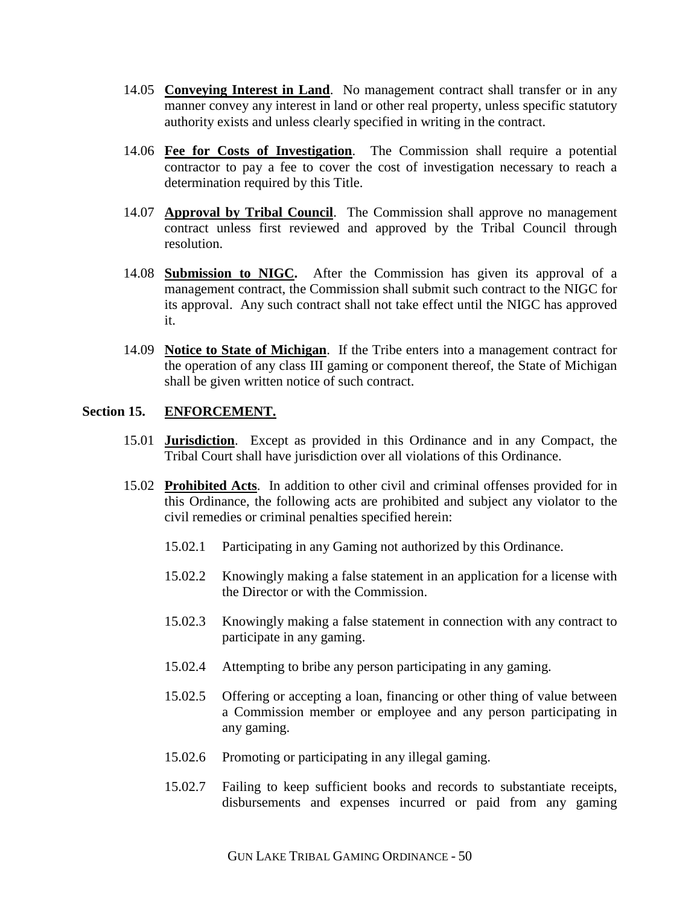- 14.05 **Conveying Interest in Land**. No management contract shall transfer or in any manner convey any interest in land or other real property, unless specific statutory authority exists and unless clearly specified in writing in the contract.
- 14.06 **Fee for Costs of Investigation**. The Commission shall require a potential contractor to pay a fee to cover the cost of investigation necessary to reach a determination required by this Title.
- 14.07 **Approval by Tribal Council**. The Commission shall approve no management contract unless first reviewed and approved by the Tribal Council through resolution.
- 14.08 **Submission to NIGC.** After the Commission has given its approval of a management contract, the Commission shall submit such contract to the NIGC for its approval. Any such contract shall not take effect until the NIGC has approved it.
- 14.09 **Notice to State of Michigan**. If the Tribe enters into a management contract for the operation of any class III gaming or component thereof, the State of Michigan shall be given written notice of such contract.

### **Section 15. ENFORCEMENT.**

- 15.01 **Jurisdiction**. Except as provided in this Ordinance and in any Compact, the Tribal Court shall have jurisdiction over all violations of this Ordinance.
- 15.02 **Prohibited Acts**. In addition to other civil and criminal offenses provided for in this Ordinance, the following acts are prohibited and subject any violator to the civil remedies or criminal penalties specified herein:
	- 15.02.1 Participating in any Gaming not authorized by this Ordinance.
	- 15.02.2 Knowingly making a false statement in an application for a license with the Director or with the Commission.
	- 15.02.3 Knowingly making a false statement in connection with any contract to participate in any gaming.
	- 15.02.4 Attempting to bribe any person participating in any gaming.
	- 15.02.5 Offering or accepting a loan, financing or other thing of value between a Commission member or employee and any person participating in any gaming.
	- 15.02.6 Promoting or participating in any illegal gaming.
	- 15.02.7 Failing to keep sufficient books and records to substantiate receipts, disbursements and expenses incurred or paid from any gaming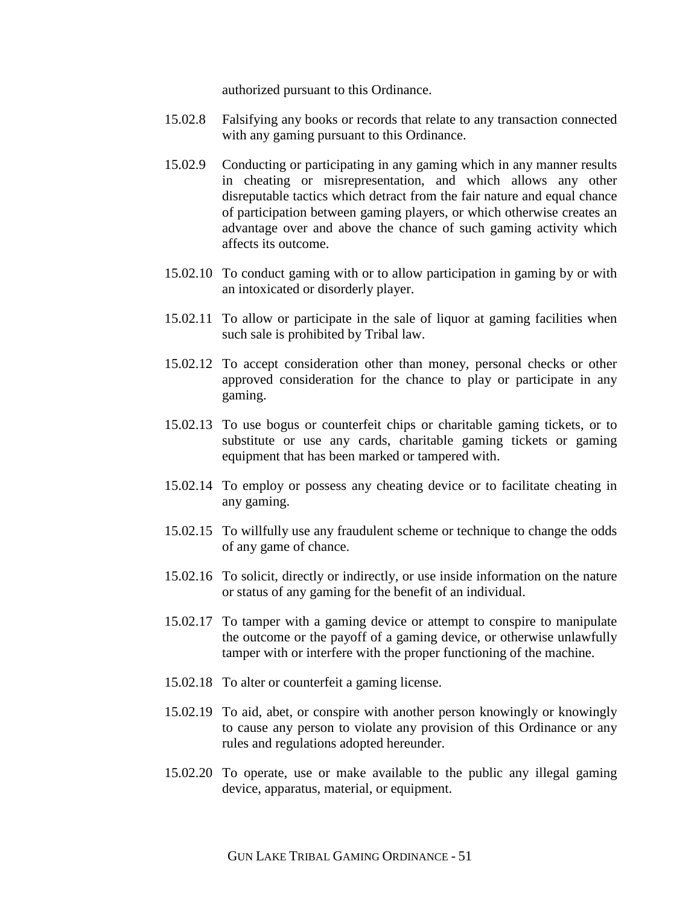authorized pursuant to this Ordinance.

- 15.02.8 Falsifying any books or records that relate to any transaction connected with any gaming pursuant to this Ordinance.
- 15.02.9 Conducting or participating in any gaming which in any manner results in cheating or misrepresentation, and which allows any other disreputable tactics which detract from the fair nature and equal chance of participation between gaming players, or which otherwise creates an advantage over and above the chance of such gaming activity which affects its outcome.
- 15.02.10 To conduct gaming with or to allow participation in gaming by or with an intoxicated or disorderly player.
- 15.02.11 To allow or participate in the sale of liquor at gaming facilities when such sale is prohibited by Tribal law.
- 15.02.12 To accept consideration other than money, personal checks or other approved consideration for the chance to play or participate in any gaming.
- 15.02.13 To use bogus or counterfeit chips or charitable gaming tickets, or to substitute or use any cards, charitable gaming tickets or gaming equipment that has been marked or tampered with.
- 15.02.14 To employ or possess any cheating device or to facilitate cheating in any gaming.
- 15.02.15 To willfully use any fraudulent scheme or technique to change the odds of any game of chance.
- 15.02.16 To solicit, directly or indirectly, or use inside information on the nature or status of any gaming for the benefit of an individual.
- 15.02.17 To tamper with a gaming device or attempt to conspire to manipulate the outcome or the payoff of a gaming device, or otherwise unlawfully tamper with or interfere with the proper functioning of the machine.
- 15.02.18 To alter or counterfeit a gaming license.
- 15.02.19 To aid, abet, or conspire with another person knowingly or knowingly to cause any person to violate any provision of this Ordinance or any rules and regulations adopted hereunder.
- 15.02.20 To operate, use or make available to the public any illegal gaming device, apparatus, material, or equipment.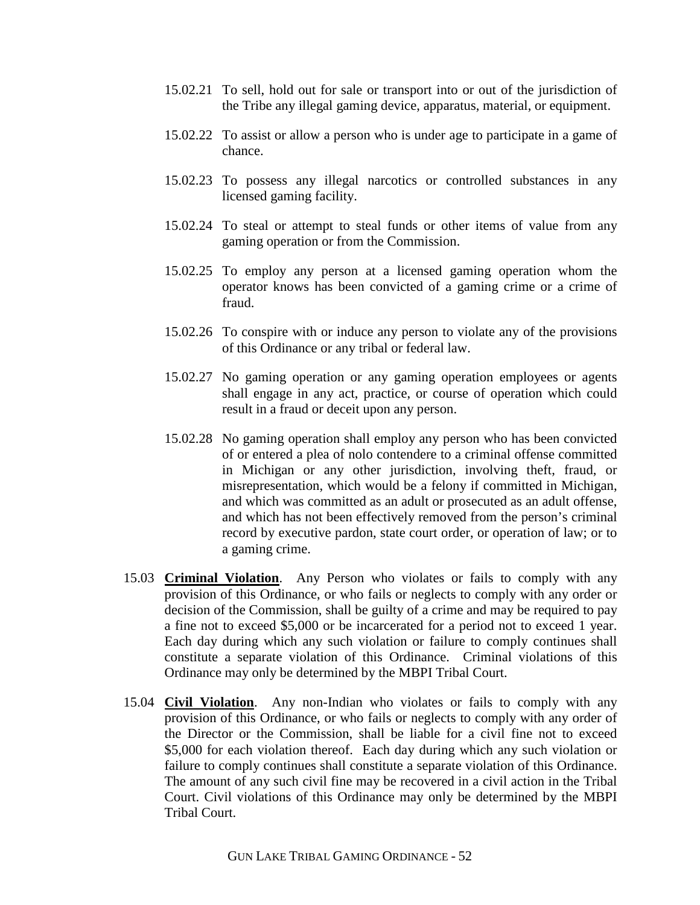- 15.02.21 To sell, hold out for sale or transport into or out of the jurisdiction of the Tribe any illegal gaming device, apparatus, material, or equipment.
- 15.02.22 To assist or allow a person who is under age to participate in a game of chance.
- 15.02.23 To possess any illegal narcotics or controlled substances in any licensed gaming facility.
- 15.02.24 To steal or attempt to steal funds or other items of value from any gaming operation or from the Commission.
- 15.02.25 To employ any person at a licensed gaming operation whom the operator knows has been convicted of a gaming crime or a crime of fraud.
- 15.02.26 To conspire with or induce any person to violate any of the provisions of this Ordinance or any tribal or federal law.
- 15.02.27 No gaming operation or any gaming operation employees or agents shall engage in any act, practice, or course of operation which could result in a fraud or deceit upon any person.
- 15.02.28 No gaming operation shall employ any person who has been convicted of or entered a plea of nolo contendere to a criminal offense committed in Michigan or any other jurisdiction, involving theft, fraud, or misrepresentation, which would be a felony if committed in Michigan, and which was committed as an adult or prosecuted as an adult offense, and which has not been effectively removed from the person's criminal record by executive pardon, state court order, or operation of law; or to a gaming crime.
- 15.03 **Criminal Violation**. Any Person who violates or fails to comply with any provision of this Ordinance, or who fails or neglects to comply with any order or decision of the Commission, shall be guilty of a crime and may be required to pay a fine not to exceed \$5,000 or be incarcerated for a period not to exceed 1 year. Each day during which any such violation or failure to comply continues shall constitute a separate violation of this Ordinance. Criminal violations of this Ordinance may only be determined by the MBPI Tribal Court.
- 15.04 **Civil Violation**. Any non-Indian who violates or fails to comply with any provision of this Ordinance, or who fails or neglects to comply with any order of the Director or the Commission, shall be liable for a civil fine not to exceed \$5,000 for each violation thereof. Each day during which any such violation or failure to comply continues shall constitute a separate violation of this Ordinance. The amount of any such civil fine may be recovered in a civil action in the Tribal Court. Civil violations of this Ordinance may only be determined by the MBPI Tribal Court.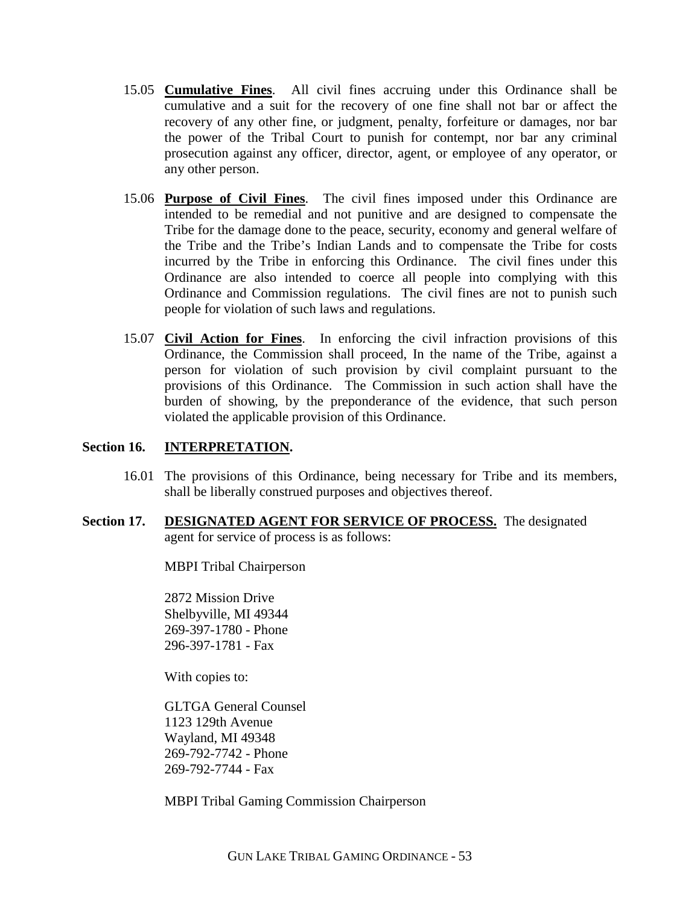- 15.05 **Cumulative Fines**. All civil fines accruing under this Ordinance shall be cumulative and a suit for the recovery of one fine shall not bar or affect the recovery of any other fine, or judgment, penalty, forfeiture or damages, nor bar the power of the Tribal Court to punish for contempt, nor bar any criminal prosecution against any officer, director, agent, or employee of any operator, or any other person.
- 15.06 **Purpose of Civil Fines**. The civil fines imposed under this Ordinance are intended to be remedial and not punitive and are designed to compensate the Tribe for the damage done to the peace, security, economy and general welfare of the Tribe and the Tribe's Indian Lands and to compensate the Tribe for costs incurred by the Tribe in enforcing this Ordinance. The civil fines under this Ordinance are also intended to coerce all people into complying with this Ordinance and Commission regulations. The civil fines are not to punish such people for violation of such laws and regulations.
- 15.07 **Civil Action for Fines**. In enforcing the civil infraction provisions of this Ordinance, the Commission shall proceed, In the name of the Tribe, against a person for violation of such provision by civil complaint pursuant to the provisions of this Ordinance. The Commission in such action shall have the burden of showing, by the preponderance of the evidence, that such person violated the applicable provision of this Ordinance.

### **Section 16. INTERPRETATION.**

- 16.01 The provisions of this Ordinance, being necessary for Tribe and its members, shall be liberally construed purposes and objectives thereof.
- **Section 17. DESIGNATED AGENT FOR SERVICE OF PROCESS.** The designated agent for service of process is as follows:

MBPI Tribal Chairperson

2872 Mission Drive Shelbyville, MI 49344 269-397-1780 - Phone 296-397-1781 - Fax

With copies to:

GLTGA General Counsel 1123 129th Avenue Wayland, MI 49348 269-792-7742 - Phone 269-792-7744 - Fax

MBPI Tribal Gaming Commission Chairperson